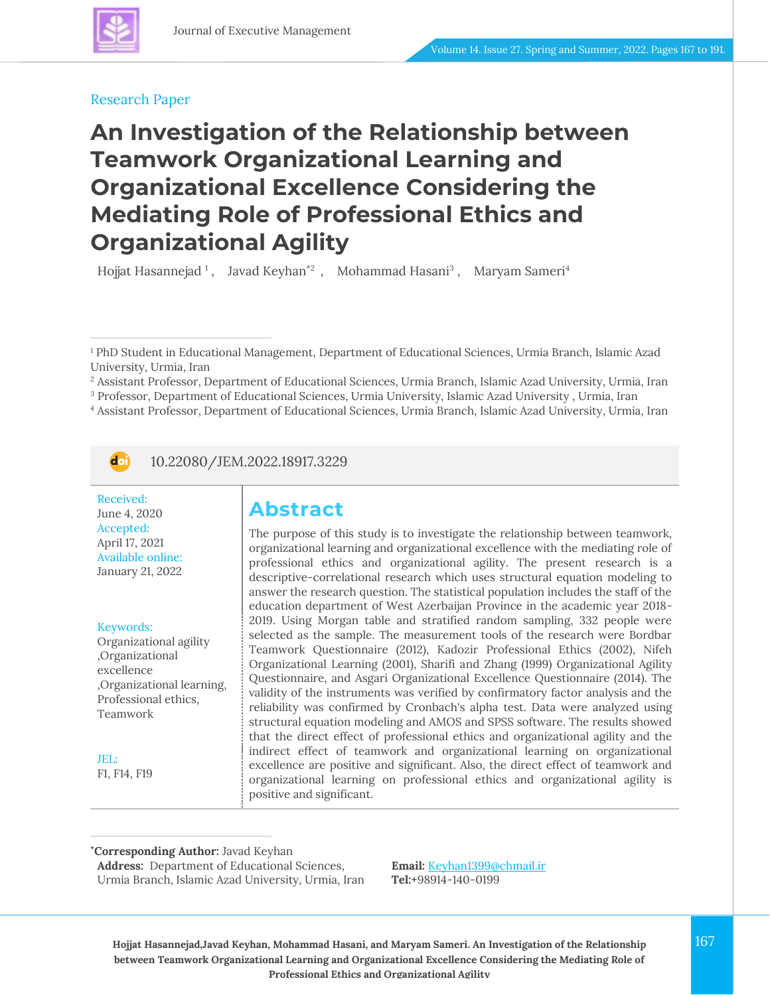#### Research Paper

# **An Investigation of the Relationship between Teamwork Organizational Learning and Organizational Excellence Considering the Mediating Role of Professional Ethics and Organizational Agility**

Hojjat Hasannejad  $^1$ , Javad Keyhan\* $^2$  , Mohammad Hasani $^3$  , Maryam Sameri $^4$ 

<sup>4</sup> Assistant Professor, Department of Educational Sciences, Urmia Branch, Islamic Azad University, Urmia, Iran



10.22080/JEM.2022.18917.3229

Received: June 4, 2020 Accepted: April 17, 2021 Available online: January 21, 2022

Keywords: Organizational agility ,Organizational excellence ,Organizational learning, Professional ethics, Teamwork

JEL: F1, F14, F19

# **Abstract**

The purpose of this study is to investigate the relationship between teamwork, organizational learning and organizational excellence with the mediating role of professional ethics and organizational agility. The present research is a descriptive-correlational research which uses structural equation modeling to answer the research question. The statistical population includes the staff of the education department of West Azerbaijan Province in the academic year 2018- 2019. Using Morgan table and stratified random sampling, 332 people were selected as the sample. The measurement tools of the research were Bordbar Teamwork Questionnaire (2012), Kadozir Professional Ethics (2002), Nifeh Organizational Learning (2001), Sharifi and Zhang (1999) Organizational Agility Questionnaire, and Asgari Organizational Excellence Questionnaire (2014). The validity of the instruments was verified by confirmatory factor analysis and the reliability was confirmed by Cronbach's alpha test. Data were analyzed using structural equation modeling and AMOS and SPSS software. The results showed that the direct effect of professional ethics and organizational agility and the indirect effect of teamwork and organizational learning on organizational excellence are positive and significant. Also, the direct effect of teamwork and organizational learning on professional ethics and organizational agility is positive and significant.

#### **\*Corresponding Author:** Javad Keyhan

**Address:** Department of Educational Sciences, Urmia Branch, Islamic Azad University, Urmia, Iran **Email:** [Keyhan1399@chmail.ir](file:///C:/Users/farha/Desktop/JEM-14-27/Temp/Keyhan1399@chmail.ir) **Tel:+**98914-140-0199

**Hojjat Hasannejad,Javad Keyhan, Mohammad Hasani, and Maryam Sameri. An Investigation of the Relationship** 167 **between Teamwork Organizational Learning and Organizational Excellence Considering the Mediating Role of Professional Ethics and Organizational Agility**

<sup>1</sup> PhD Student in Educational Management, Department of Educational Sciences, Urmia Branch, Islamic Azad University, Urmia, Iran

<sup>2</sup> Assistant Professor, Department of Educational Sciences, Urmia Branch, Islamic Azad University, Urmia, Iran

<sup>3</sup> Professor, Department of Educational Sciences, Urmia University, Islamic Azad University , Urmia, Iran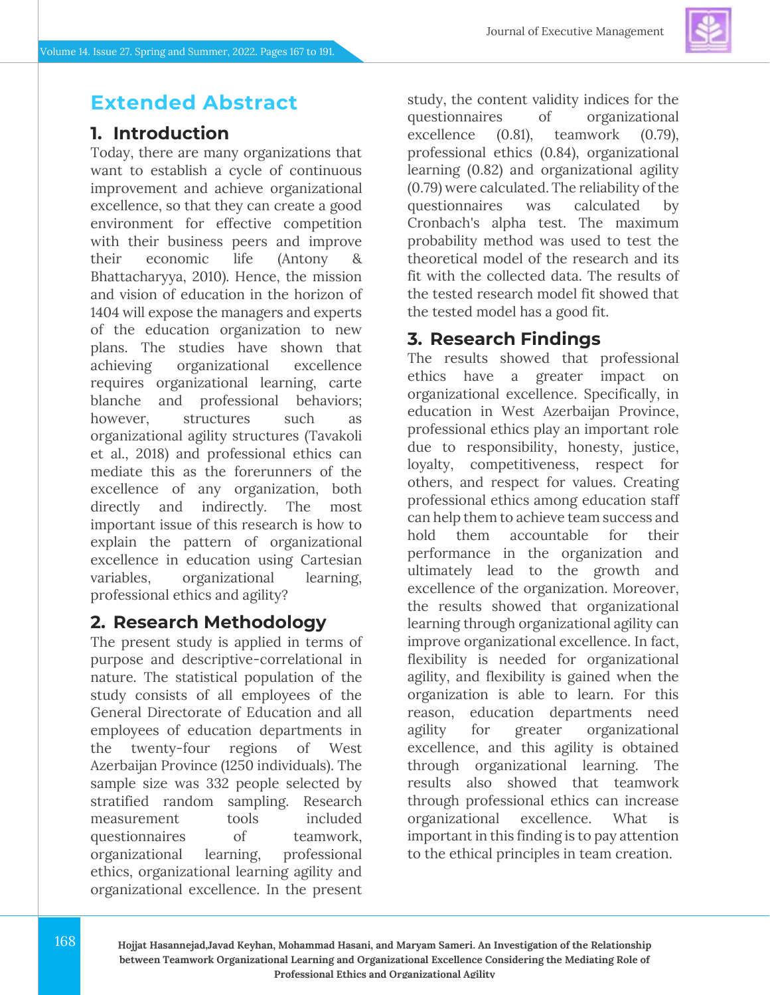

### **Extended Abstract**

#### **1. Introduction**

Today, there are many organizations that want to establish a cycle of continuous improvement and achieve organizational excellence, so that they can create a good environment for effective competition with their business peers and improve their economic life (Antony Bhattacharyya, 2010). Hence, the mission and vision of education in the horizon of 1404 will expose the managers and experts of the education organization to new plans. The studies have shown that achieving organizational excellence requires organizational learning, carte blanche and professional behaviors; however, structures such as organizational agility structures (Tavakoli et al., 2018) and professional ethics can mediate this as the forerunners of the excellence of any organization, both directly and indirectly. The most important issue of this research is how to explain the pattern of organizational excellence in education using Cartesian variables, organizational learning, professional ethics and agility?

#### **2. Research Methodology**

The present study is applied in terms of purpose and descriptive-correlational in nature. The statistical population of the study consists of all employees of the General Directorate of Education and all employees of education departments in the twenty-four regions of West Azerbaijan Province (1250 individuals). The sample size was 332 people selected by stratified random sampling. Research measurement tools included questionnaires of teamwork, organizational learning, professional ethics, organizational learning agility and organizational excellence. In the present

study, the content validity indices for the questionnaires of organizational excellence (0.81), teamwork (0.79), professional ethics (0.84), organizational learning (0.82) and organizational agility (0.79) were calculated. The reliability of the questionnaires was calculated by Cronbach's alpha test. The maximum probability method was used to test the theoretical model of the research and its fit with the collected data. The results of the tested research model fit showed that the tested model has a good fit.

### **3. Research Findings**

The results showed that professional ethics have a greater impact on organizational excellence. Specifically, in education in West Azerbaijan Province, professional ethics play an important role due to responsibility, honesty, justice, loyalty, competitiveness, respect for others, and respect for values. Creating professional ethics among education staff can help them to achieve team success and hold them accountable for their performance in the organization and ultimately lead to the growth and excellence of the organization. Moreover, the results showed that organizational learning through organizational agility can improve organizational excellence. In fact, flexibility is needed for organizational agility, and flexibility is gained when the organization is able to learn. For this reason, education departments need agility for greater organizational excellence, and this agility is obtained through organizational learning. The results also showed that teamwork through professional ethics can increase organizational excellence. What important in this finding is to pay attention to the ethical principles in team creation.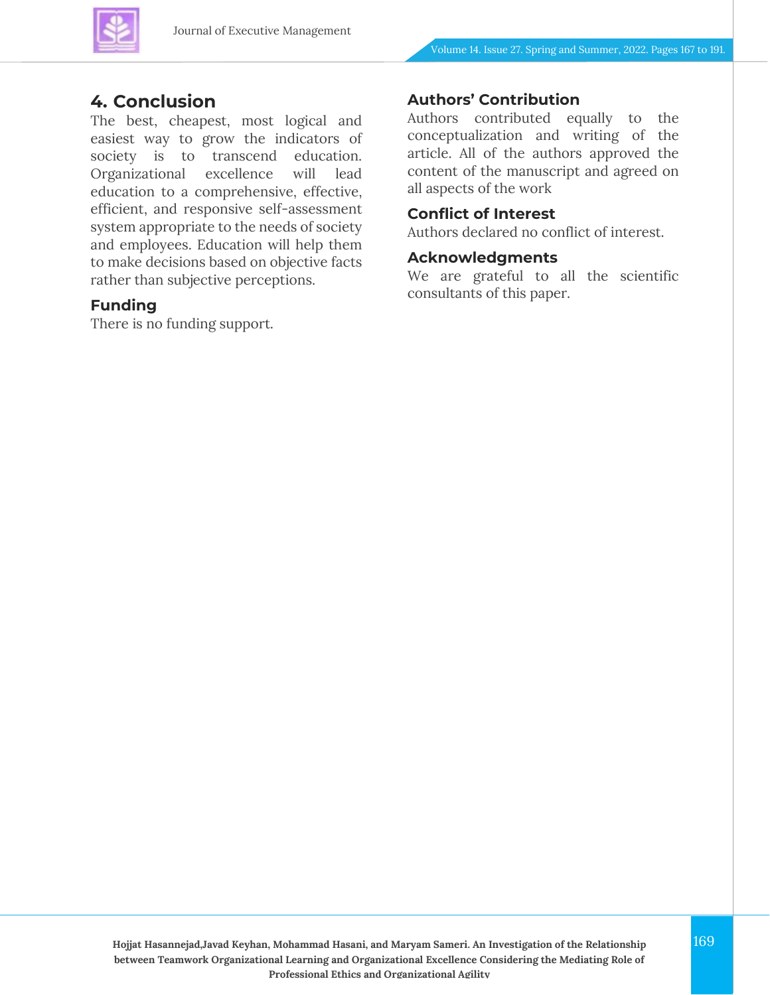

#### **4. Conclusion**

The best, cheapest, most logical and easiest way to grow the indicators of society is to transcend education. Organizational excellence will lead education to a comprehensive, effective, efficient, and responsive self-assessment system appropriate to the needs of society and employees. Education will help them to make decisions based on objective facts rather than subjective perceptions.

#### **Funding**

There is no funding support.

#### **Authors' Contribution**

Authors contributed equally to the conceptualization and writing of the article. All of the authors approved the content of the manuscript and agreed on all aspects of the work

#### **Conflict of Interest**

Authors declared no conflict of interest.

#### **Acknowledgments**

We are grateful to all the scientific consultants of this paper.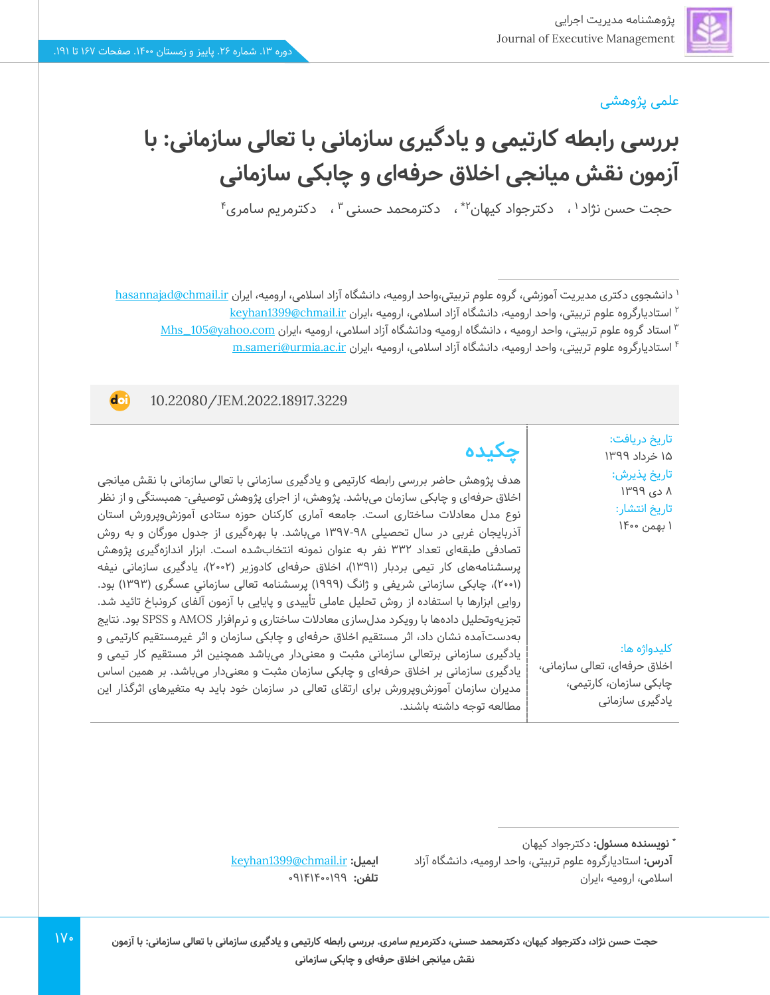**doi** 

#### علمی پژوهشی

**بررسی رابطه کارتیمی و یادگیری سازمانی با تعالی سازمانی: با آزمون نقش میانجی اخالق حرفه ای و چابکی سازمانی**

حجت حسن نژاد ا ، دکترجواد کیهان ٔ ٔ ، دکترمحمد حسنی ٔ ، دکترمریم سامری ٔ

۱ دانشجوی دکتری مدیریت آموزشی، گروه علوم تربیتی،واحد ارومیه، دانشگاه آزاد اسلامی، ارومیه، ایران <u>hasannajad@chmail.ir</u> استادیارگروه علوم تربیتی، واحد ارومیه، دانشگاه آزاد اسالمی، ارومیه ،ایران [ir.chmail@1399keyhan](mailto:keyhan1399@chmail.ir) <sup>2</sup>

استاد گروه علوم تربیتی، واحد ارومیه ، دانشگاه ارومیه ودانشگاه آزاد اسالمی، ارومیه ،ایران [com.yahoo@105\\_Mhs](file:///C:/Users/farha/Desktop/JEM-14-27/Temp/Mhs_105@yahoo.com) <sup>3</sup>

استادیارگروه علوم تربیتی، واحد ارومیه، دانشگاه آزاد اسالمی، ارومیه ،ایران [ir.ac.urmia@sameri.m](file:///C:/Users/farha/Desktop/JEM-14-27/Temp/m.sameri@urmia.ac.ir) <sup>4</sup>

10.22080/JEM.2022.18917.3229

تاریخ دریافت: 15 خرداد 1399 تاریخ پذیرش : 8 دی 1399 تاریخ انتشار: 1 بهمن 1400

**چکیده**

هدف پژوهش حاضر بررسی رابطه کارتیمی و یادگیری سازمانی با تعالی سازمانی با نقش میانجی اخالق حرفهای و چابکی سازمان میباشد. پژوهش، از اجرای پژوهش توصیفی- همبستگی و از نظر نوع مدل معادالت ساختاری است. جامعه آماری کارکنان حوزه ستادی آموزشوپرورش استان آذربایجان غربی در سال تحصیلی 1397-98 میباشد. با بهرهگیری از جدول مورگان و به روش تصادفی طبقهای تعداد 332 نفر به عنوان نمونه انتخابشده است. ابزار اندازهگیری پژوهش پرسشنامههای کار تیمی بردبار (۱۳۹۱)، اخلاق حرفهای کادوزیر (۲۰۰۲)، یادگیری سازمانی نیفه )2001(، چابکی سازمانی شریفی و ژانگ )1999( پرسشنامه تعالی سازماني عسگری )1393( بود. روایی ابزارها با استفاده از روش تحلیل عاملی تأییدی و پایایی با آزمون آلفای کرونباخ تائید شد. تجزیهوتحلیل دادهها با رویکرد مدلسازی معادالت ساختاری و نرمافزار AMOS و SPSS بود. نتایج بهدستآمده نشان داد، اثر مستقیم اخالق حرفهای و چابکی سازمان و اثر غیرمستقیم کارتیمی و یادگیری سازمانی برتعالی سازمانی مثبت و معنیدار میباشد همچنین اثر مستقیم کار تیمی و یادگیری سازمانی بر اخالق حرفهای و چابکی سازمان مثبت و معنی دار میباشد. بر همین اساس مدیران سازمان آموزشوپرورش برای ارتقای تعالی در سازمان خود باید به متغیرهای اثرگذار این مطالعه توجه داشته باشند.

کلیدواژه ها:

اخالق حرفهای، تعالی سازمانی، چابکی سازمان، کارتیمی، یادگیری سازمانی

**:** دکترجواد کیهان **\* نویسنده مسئول**

**آدرس:** استادیارگروه علوم تربیتی، واحد ارومیه، دانشگاه آزاد اسالمی، ارومیه ،ایران

[keyhan1399@chmail.ir](mailto:keyhan1399@chmail.ir) **:ایمیل** تلفن: ١٩٩<u>٠</u>٠٩٩٩م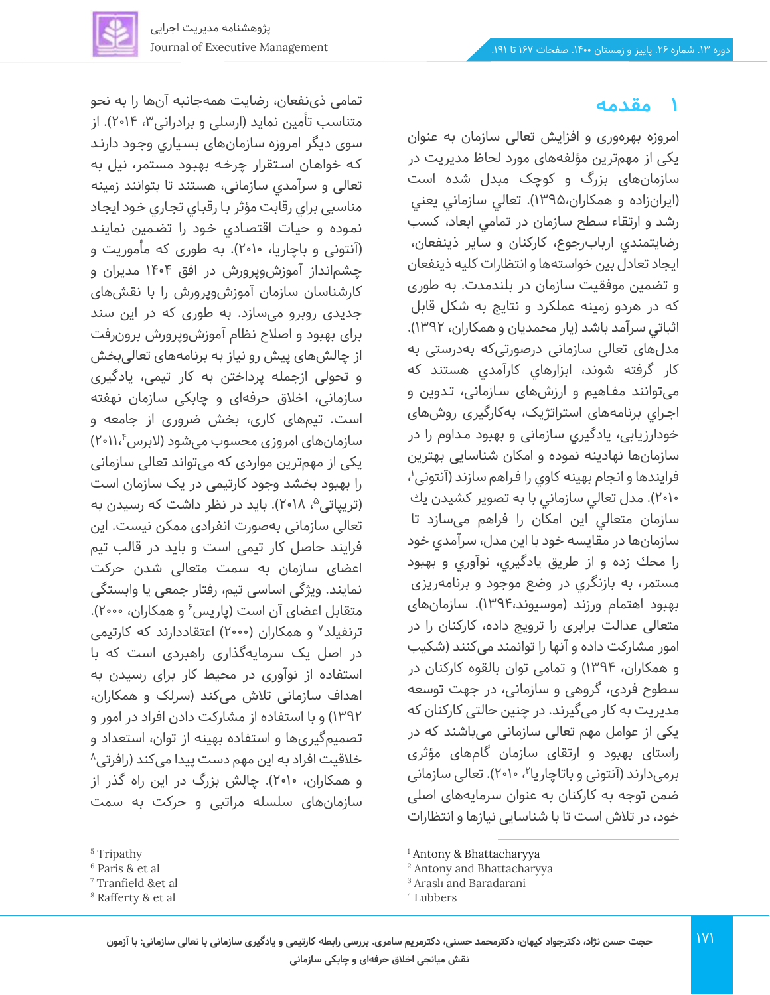تمامی ذی نفعان، رضایت همهجانبه آن ها را به نحو متناسب تأمین نماید (ارسلی و برادرانی۳، ۲۰۱۴). از سوی دیگر امروزه سازمانهای بسـیاري وجـود دارنـد کـه خواهـان اسـتقرار چرخـه بهبـود مستمر، نیل به تعالی و سرآمدي سازمانی، هستند تا بتوانند زمینه مناسبی براي رقابت مؤثر بـا رقبـاي تجـاري خـود ایجـاد نمـوده و حیـات اقتصـادي خـود را تضـمین نما ینـد )آنتونی و باچاریا، 2010(. به طوری که مأموریت و چشمانداز آموزش وپرورش در افق 1404 مدیران و کارشناسان سازمان آموزش وپرورش را با نقش های جدیدی روبرو می سازد. به طوری که در این سند برای بهبود و اصالح نظام آموزشوپرورش برون رفت از چالش های پیش رو نیاز به برنامههای تعالی بخش و تحولی ازجمله پرداختن به کار تیمی، یادگیری سازمانی، اخالق حرفه ای و چابکی سازمان نهفته است. تیمهای کاری، بخش ضروری از جامعه و سازمانهای امروزی محسوب میشود (لابرس۲۰۱۱،۴) یکی از مهم ترین مواردی که میتواند تعالی سازمانی را بهبود بخشد وجود کارتیمی در یک سازمان است (تریپاتی<sup>م</sup>، ۲۰۱۸). باید در نظر داشت که رسیدن به تعالی سازمانی به صورت انفرادی ممکن نیست. این فرایند حاصل کار تیمی است و باید در قالب تیم اعضای سازمان به سمت متعالی شدن حرکت نمایند. ویژگی اساسی تیم، رفتار جمعی یا وابستگی متقابل اعضای آن است (پاریس ٔ و همکاران، ۲۰۰۰). ترنفیلد<sup>۷</sup> و همکاران (۲۰۰۰) اعتقاددارند که کارتیمی در اصل یک سرمایهگذاری راهبردی است که با استفاده از نوآوری در محیط کار برای رسیدن به اهداف سازمانی تالش می کند )سرلک و همکاران، 1392( و با استفاده از مشارکت دادن افراد در امور و تصمیمگیریها و استفاده بهینه از توان، استعداد و خلاقیت افراد به این مهم دست پیدا میکند (رافرتی^ و همکاران، ۲۰۱۰). چالش بزرگ در این راه گذر از سازمانهای سلسله مراتبی و حرکت به سمت



امروزه بهرهوری و افزایش تعالی سازمان به عنوان یکی از مهم ترین مؤلفه های مورد لحاظ مدیریت در سازمانهای بزرگ و کوچک مبدل شده است )ایران زاده و همکاران1395،(. تعالي سازماني يعني رشد و ارتقاء سطح سازمان در تمامي ابعاد، كسب رضايتمندي اربابرجوع، كاركنان و ساير ذينفعان، ايجاد تعادل بين خواستهها و انتظارات كليه ذينفعان و تضمين موفقيت سازمان در بلندمدت. به طوری که در هردو زمينه عملكرد و نتايج به شكل قابل اثباتي سرآمد باشد )یار محمدیان و همکاران، 1392(. مدل های تعالی سازمانی درصورتی که به درستی به کار گرفته شوند، ابزارهاي کارآمدي هستند که میتوانند مفـاهیم و ارزش های سـازمانی، تـدوین و اجـراي برنامههای استراتژیک، به کارگیری روش های خودارزیابی، یادگیري سازمانی و بهبود مـداوم را در سازمانها نهادینه نموده و امکان شناسایی بهترین فرایندها و انجام بهینه کاوی را فراهم سازند (آنتونی'، 2010(. مدل تعالي سازماني با به تصوير كشيدن يك سازمان متعالي اين امكان را فراهم می سازد تا سازمانها در مقایسه خود با اين مدل، سرآمدي خود را محك زده و از طریق يادگيري، نوآوري و بهبود مستمر، به بازنگري در وضع موجود و برنامهریزی بهبود اهتمام ورزند )موسیوند1394،(. سازمان های متعالی عدالت برابری را ترو یج داده، کارکنان را در امور مشارکت داده و آنها را توانمند می کنند )شکیب و همکاران، 1394( و تمامی توان بالقوه کارکنان در سطوح فردی، گروهی و سازمانی، در جهت توسعه مدیریت به کار می گیرند. در چنین حالتی کارکنان که یکی از عوامل مهم تعالی سازمانی می باشند که در راستای بهبود و ارتقای سازمان گامهای مؤثری برمیدارند (آنتونی و باتاچاریا۲، ۲۰۱۰). تعالی سازمانی ضمن توجه به کارکنان به عنوان سرمایه های اصلی خود، در تالش است تا با شناسایی نیازها و انتظارات

<sup>5</sup> Tripathy

<sup>6</sup> Paris & et al

<sup>7</sup> Tranfield &et al

<sup>8</sup> Rafferty & et al

<sup>1</sup> Antony & Bhattacharyya

<sup>2</sup> Antony and Bhattacharyya

<sup>3</sup> Araslı and Baradarani

<sup>4</sup> Lubbers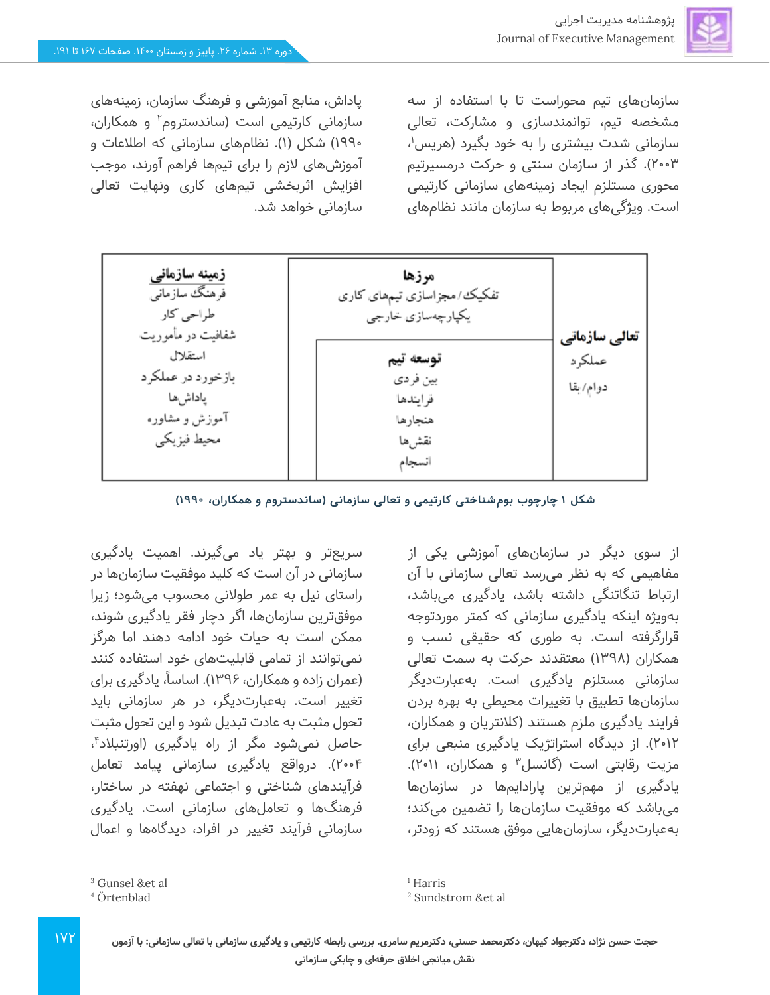سازمانهای تیم محوراست تا با استفاده از سه مشخصه تیم، توانمندسازی و مشارکت، تعالی سازمانی شدت بیشتری را به خود بگیرد (هریس<sup>۱</sup>، 2003(. گذر از سازمان سنتی و حرکت درمسیرتیم محوری مستلزم ایجاد زمینههای سازمانی کارتیمی است. ویژگی های مربوط به سازمان مانند نظامهای

از سوی دیگر در سازمانهای آموزشی یکی از مفاهیمی که به نظر می رسد تعالی سازمانی با آن ارتباط تنگاتنگی داشته باشد، یادگیری می باشد، بهویژه اینکه یادگیری سازمانی که کمتر موردتوجه قرارگرفته است. به طوری که حقیقی نسب و همکاران )1398( معتقدند حرکت به سمت تعالی سازمانی مستلزم یادگیری است. بهعبارتدیگر سازمانها تطبیق با تغییرات محیطی به بهره بردن فرایند یادگیری ملزم هستند (کلانتریان و همکاران، 2012(. از دیدگاه استراتژیک یادگیری منبعی برای مزیت رقابتی است (گانسل<sup>۳</sup> و همکاران، ۲۰۱۱). یادگیری از مهمترین پارادایمها در سازمانها میباشد که موفقیت سازمانها را تضمین می کند؛ بهعبارتدیگر، سازمانهایی موفق هستند که زودتر،

پاداش، منابع آموزشی و فرهنگ سازمان، زمینههای سازمانی کارتیمی است (ساندستروم<sup>۲</sup> و همکاران، 1990( شکل )1(. نظام های سازمانی که اطالعات و آموزشهای الزم را برای تیم ها فراهم آورند، موجب افزایش اثربخشی تیمهای کاری ونهایت تعالی سازمانی خواهد شد.



**شکل 1 چارچوب بوم شناخت ی کارتیمی و تعالی سازمانی )ساندستروم و همکاران، 1990(** 

سریعتر و بهتر یاد میگیرند. اهمیت یادگیری سازمانی در آن است که کلید موفقیت سازمانها در راستای نیل به عمر طوالنی محسوب می شود؛ زیرا موفقترین سازمانها، اگر دچار فقر یادگیری شوند، ممکن است به حیات خود ادامه دهند اما هرگز نمی توانند از تمامی قابلیت های خود استفاده کنند (عمران زاده و همکاران، ۱۳۹۶). اساساً، یادگیری برای تغییر است. بهعبارتدیگر، در هر سازمانی باید تحول مثبت به عادت تبدیل شود و این تحول مثبت حاصل نمیشود مگر از راه یادگیری (اورتنبلاد۴، 2004(. درواقع یادگیری سازمانی پیامد تعامل فرآیندهای شناختی و اجتماعی نهفته در ساختار، فرهنگها و تعاملهای سازمانی است. یادگیری سازمانی فرآیند تغییر در افراد، دیدگاهها و اعمال

 $1YY$ 

<sup>1</sup> Harris

<sup>3</sup> Gunsel &et al

<sup>4</sup> Örtenblad

<sup>2</sup> Sundstrom &et al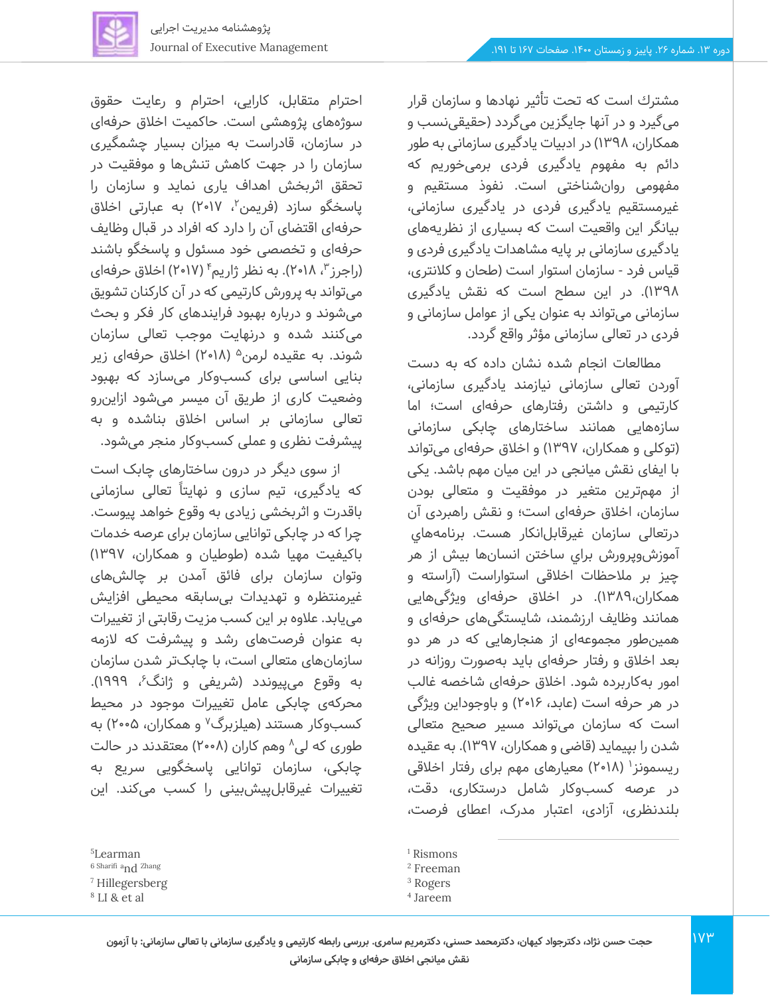مشترك است که تحت تأثیر نهادها و سازمان قرار میگیرد و در آنها جایگزین می گردد )حقیقی نسب و همکاران، 1398( در ادبیات یادگیری سازمانی به طور دائم به مفهوم یادگیری فردی برمی خوریم که مفهومی روان شناختی است. نفوذ مستقیم و غیرمستقیم یادگیری فردی در یادگیری سازمانی، بیانگر این واقعیت است که بسیاری از نظریه های یادگیری سازمانی بر پایه مشاهدات یادگیری فردی و قیاس فرد - سازمان استوار است )طحان و کالنتری، 1398(. در این سطح است که نقش یادگیری سازمانی می تواند به عنوان یکی از عوامل سازمانی و فردی در تعالی سازمانی مؤثر واقع گردد.

مطالعات انجام شده نشان داده که به دست آوردن تعالی سازمانی نیازمند یادگیری سازمانی، کارتیمی و داشتن رفتارهای حرفه ای است؛ اما سازههایی همانند ساختارهای چابکی سازمانی (توکلی و همکاران، ۱۳۹۷) و اخلاق حرفهای میتواند با ایفای نقش میانجی در این میان مهم باشد. یکی از مهمترین متغیر در موفقیت و متعالی بودن سازمان، اخالق حرفه ای است؛ و نقش راهبردی آن درتعالی سازمان غیرقابل انکار هست. برنامه هاي آموزشوپرورش براي ساختن انسان ها بیش از هر چیز بر ملاحظات اخلاقی استواراست (آراسته و همکاران1389،(. در اخالق حرفهای ویژگی هایی همانند وظایف ارزشمند، شایستگی های حرفه ای و همین طور مجموعهای از هنجارهایی که در هر دو بعد اخالق و رفتار حرفه ای باید به صورت روزانه در امور به کاربرده شود. اخالق حرفهای شاخصه غالب در هر حرفه است (عابد، ۲۰۱۶) و باوجوداین ویژگی است که سازمان می تواند مسیر صحیح متعالی شدن را بپیماید (قاضی و همکاران، ۱۳۹۷). به عقیده ریسمونز<sup>۱</sup> (۲۰۱۸) معیارهای مهم برای رفتار اخلاقی در عرصه کسب وکار شامل درستکاری، دقت، بلندنظری، آزادی، اعتبار مدرک، اعطای فرصت،

احترام متقابل، کارایی، احترام و رعایت حقوق سوژه های پژوهشی است. حاکمیت اخالق حرفه ای در سازمان، قادراست به میزان بسیار چشمگیری سازمان را در جهت کاهش تنشها و موفقیت در تحقق اثربخش اهداف یاری نماید و سازمان را پاسخگو سازد (فریمن<sup>۲</sup>، ۲۰۱۷) به عبارتی اخلاق حرفهای اقتضای آن را دارد که افراد در قبال وظایف حرفهای و تخصصی خود مسئول و پاسخگو باشند (راجرز <sup>۳</sup>، ۲۰۱۸). به نظر ژاریم ٔ (۲۰۱۷) اخلاق حرفهای میتواند به پرورش کارتیمی که در آن کارکنان تشویق میشوند و درباره بهبود فرایندهای کار فکر و بحث میکنند شده و درنهایت موجب تعالی سازمان شوند. به عقیده لرمن<sup>۵</sup> (۲۰۱۸) اخلاق حرفهای زیر بنایی اساسی برای کسب وکار می سازد که بهبود وضعیت کاری از طریق آن میسر میشود ازاین رو تعالی سازمانی بر اساس اخالق بناشده و به

از سوی دیگر در درون ساختارهای چابک است که یادگیری، تیم سازی و نهایتاً تعالی سازمانی باقدرت و اثربخشی زیادی به وقوع خواهد پیوست. چرا که در چابکی توانایی سازمان برای عرصه خدمات باکیفیت مهیا شده )طوطیان و همکاران، 1397( وتوان سازمان برای فائق آمدن بر چالش های غیرمنتظره و تهد یدات ب ی سابقه محیطی افزایش مییابد. عالوه بر این کسب مزیت رقابتی از تغییرات به عنوان فرصت های رشد و پیشرفت که الزمه سازمانهای متعالی است، با چابک تر شدن سازمان به وقوع می $\mu$ یوندد (شریفی و ژانگ $^3$ ، ۱۹۹۹). محرکه ی چابکی عامل تغییرات موجود در محیط کسبوکار هستند (هیلزبرگ<sup>۷</sup> و همکاران، ۲۰۰۵) به طوری که لی^ وهم کاران (۲۰۰۸) معتقدند در حالت چابکی، سازمان توانایی پاسخگویی سریع به تغییرات غیرقابلپیش بینی را کسب می کند. این

پیشرفت نظری و عمل ی کسب وکار منجر می شود.

<sup>5</sup>Learman

<sup>6</sup> Sharifi <sup>a</sup>nd Zhang

<sup>7</sup> Hillegersberg

<sup>8</sup> LI & et al

<sup>&</sup>lt;sup>1</sup> Rismons

<sup>2</sup> Freeman

<sup>3</sup> Rogers

<sup>4</sup> Jareem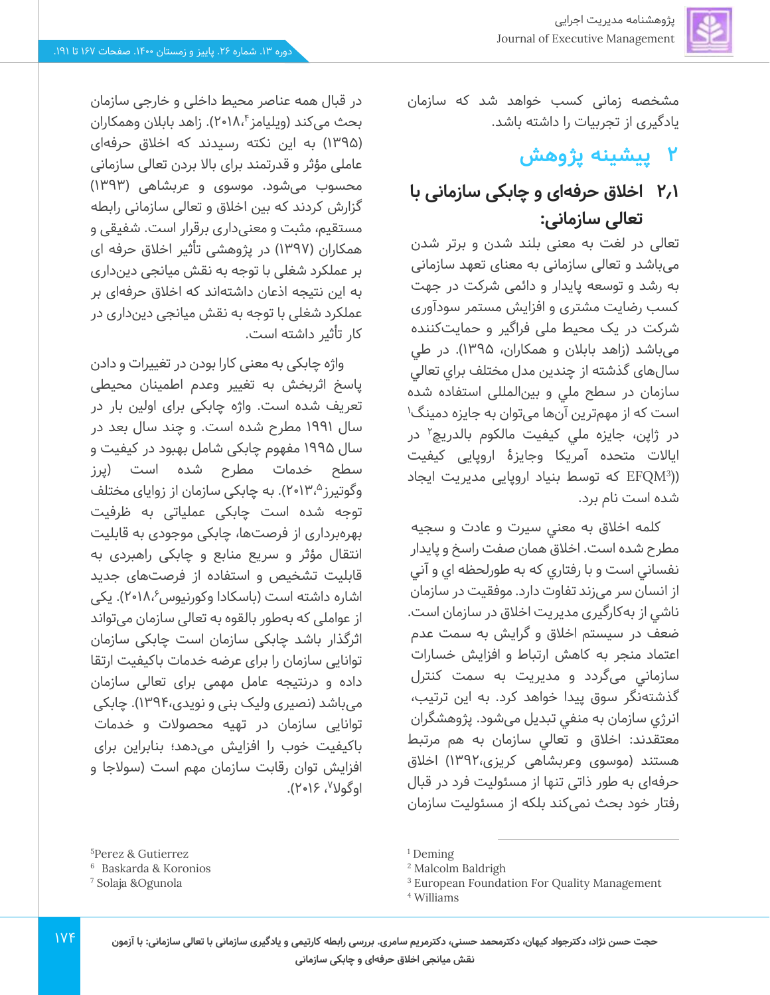مشخصه زمانی کسب خواهد شد که سازمان یادگیری از تجربیات را داشته باشد.

# **2 پیشینه پژوهش**

# **2.1 اخالق حرفهای و چابکی سازمانی با تعالی سازمانی:**

تعالی در لغت به معنی بلند شدن و برتر شدن میباشد و تعالی سازمانی به معنای تعهد سازمانی به رشد و توسعه پایدار و دائمی شرکت در جهت کسب رضایت مشتری و افزایش مستمر سودآوری شرکت در یک محیط ملی فراگیر و حمایت کننده میباشد )زاهد بابالن و همکاران، 1395( . در طي سال های گذشته از چندین مدل مختلف براي تعالي سازمان در سطح ملي و بینالمللی استفاده شده است كه از مهمترین آنها میتوان به جایزه دمینگ<sup>۱</sup> در ژاپن، جایزه ملی کیفیت مالکوم بالدریچ<sup>۲</sup> در ایاالت متحده آمریکا وجایزۀ اروپایی کیفیت )( 3 EFQM که توسط بنیاد اروپایی مدیریت ایجاد شده است نام برد.

کلمه اخالق به معني سيرت و عادت و سجيه مطرح شده است. اخالق همان صفت راسخ و پايدار نفساني است و با رفتاري كه به طورلحظه اي و آني از انسان سر می زند تفاوت دارد. موفقيت در سازمان ناشي از بهکارگیری مديريت اخالق در سازمان است. ضعف در سيستم اخالق و گرايش به سمت عدم اعتماد منجر به كاهش ارتباط و افزايش خسارات سازماني میگردد و مديريت به سمت كنترل گذشتهنگر سوق پيدا خواهد كرد. به اين ترتيب، انرژي سازمان به منفي تبديل میشود. پژوهشگران معتقدند: اخالق و تعالي سازمان به هم مرتبط هستند )موسوی وعربشاهی کریزی1392،( اخالق حرفهای به طور ذاتی تنها از مسئولیت فرد در قبال رفتار خود بحث نم ی کند بلکه از مسئولیت سازمان

در قبال همه عناصر محیط داخلی و خارجی سازمان بحث میکند (ویلیامز۲۰۱۸،۴). زاهد بابلان وهمکاران )1395( به این نکته رسیدند که اخالق حرفهای عاملی مؤثر و قدرتمند برای باال بردن تعالی سازمانی محسوب می شود. موسوی و عربشاهی ) 1393( گزارش کردند که بین اخلاق و تعالی سازمانی رابطه مستقیم، مثبت و معنیداری برقرار است. شفیقی و همکاران (۱۳۹۷) در پژوهشی تأثیر اخلاق حرفه ای بر عملکرد شغلی با توجه به نقش میانجی د ین داری به این نتیجه اذعان داشتهاند که اخالق حرفهای بر عملکرد شغلی با توجه به نقش میانجی دینداری در کار تأثیر داشته است.

واژه چابکی به معنی کارا بودن در تغییرات و دادن پاسخ اثربخش به تغییر وعدم اطمینان محیطی تعریف شده است. واژه چابکی برای اولین بار در سال 1991 مطرح شده است. و چند سال بعد در سال 1995 مفهوم چابکی شامل بهبود در کیفیت و سطح خدمات مطرح شده است )پرز وگوتیرز<sup>۲</sup>٬۱۳٬<sup>۵</sup>). به چابکی سازمان از زوایای مختلف توجه شده است چابکی عملیاتی به ظرفیت بهره برداری از فرصت ها، چابکی موجودی به قابلیت انتقال مؤثر و سریع منابع و چابکی راهبردی به قابلیت تشخیص و استفاده از فرصت های جدید اشاره داشته است (باسکادا وکورنیوس۸،<sup>۶</sup>۰۱۸، یکی از عواملی که به طور بالقوه به تعالی سازمان می تواند اثرگذار باشد چابکی سازمان است چابکی سازمان توانایی سازمان را برای عرضه خدمات باکیفیت ارتقا داده و درنتیجه عامل مهمی برای تعالی سازمان میباشد (نصیری ولیک بنی و نویدی،۱۳۹۴). چابکی توانایی سازمان در تهیه محصوالت و خدمات باکیفیت خوب را افزایش میدهد؛ بنابراین برای افزایش توان رقابت سازمان مهم است )سوالجا و اوگولا<sup>۷</sup>، ۲۰۱۶).

<sup>5</sup>Perez & Gutierrez

<sup>6</sup> Baskarda & Koronios

<sup>7</sup> Solaja &Ogunola

<sup>&</sup>lt;sup>1</sup> Deming

<sup>2</sup> Malcolm Baldrigh

<sup>&</sup>lt;sup>3</sup> European Foundation For Quality Management

<sup>4</sup> Williams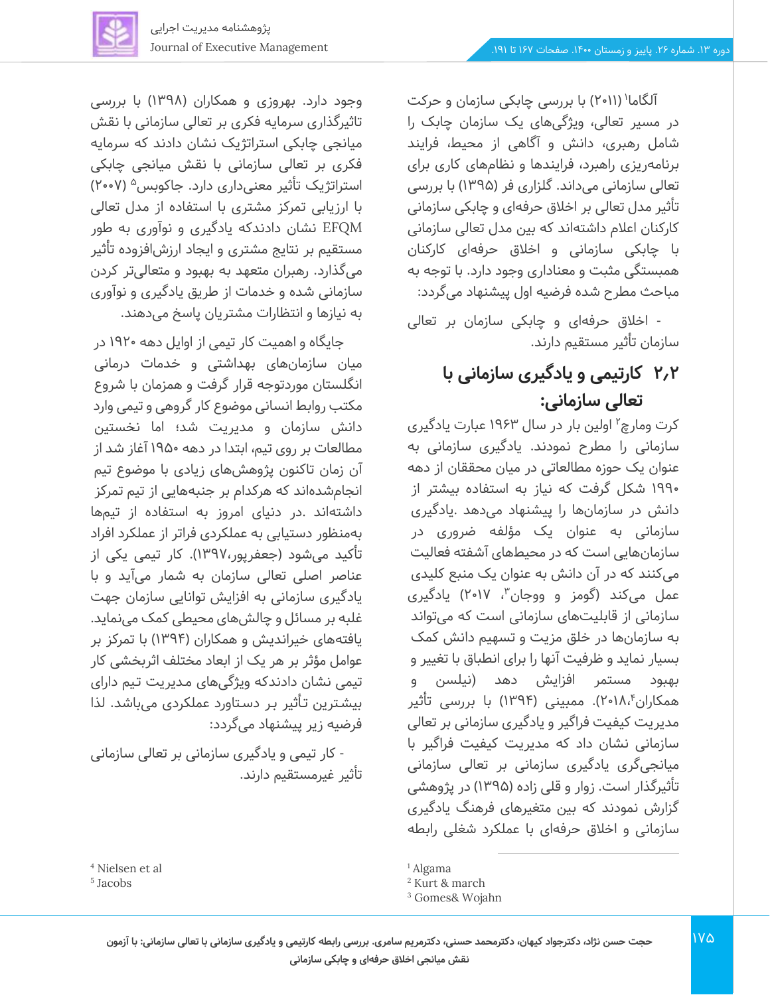

آلگاما' (۲۰۱۱) با بررسی چابکی سازمان و حرکت در مسیر تعالی، ویژگیهای یک سازمان چابک را شامل رهبری، دانش و آگاهی از محیط، فرایند برنامهریزی راهبرد، فرایندها و نظامهای کاری برای تعالی سازمانی می داند. گلزاری فر ) 1395( با بررسی تأثیر مدل تعالی بر اخلاق حرفهای و چابکی سازمانی کارکنان اعلام داشتهاند که بین مدل تعالی سازمانی با چابکی سازمانی و اخلاق حرفهای کارکنان همبستگی مثبت و معناداری وجود دارد. با توجه به مباحث مطرح شده فرضیه اول پیشنهاد می گردد:

- اخالق حرفه ای و چابکی سازمان بر تعالی سازمان تأثیر مستقیم دارند.

# **2.2 کارتیمی و یادگیری سازمانی با تعالی سازمانی:**

کرت ومارچ<sup>۲</sup> اولین بار در سال ۱۹۶۳ عبارت یادگیری سازمانی را مطرح نمودند. یادگیری سازمانی به عنوان یک حوزه مطالعاتی در میان محققان از دهه 1990 شکل گرفت که نیاز به استفاده بیشتر از دانش در سازمان ها را پیشنهاد می دهد .یادگیری سازمانی به عنوان یک مؤلفه ضروری در سازمانهایی است که در محیطهای آشفته فعالیت میکنند که در آن دانش به عنوان یک منبع کلیدی عمل میکند (گومز و ووجان ؓ، ۲۰۱۷) یادگیری سازمانی از قابلیت های سازمانی است که می تواند به سازمانها در خلق مزیت و تسهیم دانش کمک بسیار نماید و ظرفیت آنها را برای انطباق با تغییر و بهبود مستمر افزایش دهد (نیلسن و همکاران۲۰۱۸٬۴). ممبینی (۱۳۹۴) با بررسی تأثیر مدیریت کیفیت فراگیر و یادگیری سازمانی بر تعالی سازمانی نشان داد که مدیریت کیفیت فراگیر با میانجی گری یادگیری سازمانی بر تعالی سازمانی تأثیرگذار است. زوار و قلی زاده (۱۳۹۵) در پژوهشی گزارش نمودند که بین متغیرهای فرهنگ یادگیری سازمانی و اخلاق حرفهای با عملکرد شغلی رابطه

<sup>1</sup> Algama

وجود دارد. بهروزی و همکاران )1398( با بررسی تاثیرگذاری سرمایه فکری بر تعالی سازمانی با نقش میانجی چابکی استراتژیک نشان دادند که سرمایه فکری بر تعالی سازمانی با نقش میانجی چابکی استراتژیک تأثیر معنیداری دارد. جاکوبس<sup>۵</sup> (۲۰۰۷) با ارزیابی تمرکز مشتری با استفاده از مدل تعالی EFQM نشان دادندکه یادگ یری و نوآوری به طور مستقیم بر نتایج مشتری و ایجاد ارزش|فزوده تأثیر میگذارد. رهبران متعهد به بهبود و متعالی تر کردن سازمانی شده و خدمات از طریق یادگیری و نوآوری به نیازها و انتظارات مشتریان پاسخ می دهند.

جایگاه و اهمیت کار تیمی از اوایل دهه 1920 در میان سازمانهای بهداشتی و خدمات درمانی انگلستان موردتوجه قرار گرفت و همزمان با شروع مکتب روابط انسانی موضوع کار گروهی و تیمی وارد دانش سازمان و مدیریت شد؛ اما نخستین مطالعات بر روی تیم، ابتدا در دهه 1950 آغاز شد از آن زمان تاکنون پژوهش های زیادی با موضوع تیم انجام شدهاند که هرکدام بر جنبههایی از تیم تمرکز داشتهاند .در دنیای امروز به استفاده از تیم ها بهمنظور دستیابی به عملکردی فراتر از عملکرد افراد تأکید میشود (جعفرپور،۱۳۹۷). کار تیمی یکی از عناصر اصلی تعالی سازمان به شمار می آید و با یادگیری سازمانی به افزایش توانایی سازمان جهت غلبه بر مسائل و چالش های محیطی کمک می نماید. یافتههای خیراندیش و همکاران )1394( با تمرکز بر عوامل مؤثر بر هر یک از ابعاد مختلف اثربخشی کار تیمی نشان دادندکه و یژگی های مـدیریت تـيم دارای بيشـترین تـأثير بـر دسـتاورد عملکردی می باشد. لذا فرضیه زیر پیشنهاد می گردد:

- کار تیمی و یادگیری سازمانی بر تعالی سازمانی تأثیر غیرمستقیم دارند.

<sup>2</sup> Kurt & march

<sup>3</sup> Gomes& Wojahn

<sup>4</sup> Nielsen et al

<sup>5</sup> Jacobs

**حجت حسن نژاد، دکترجواد کیهان، دکترمحمد حسنی، دکترمریم سامری. بررسی رابطه کارتیمی و یادگیری سازمانی با تعالی سازمانی: با آزمون نقش میانجی اخالق حرفه ای و چابکی سازمانی**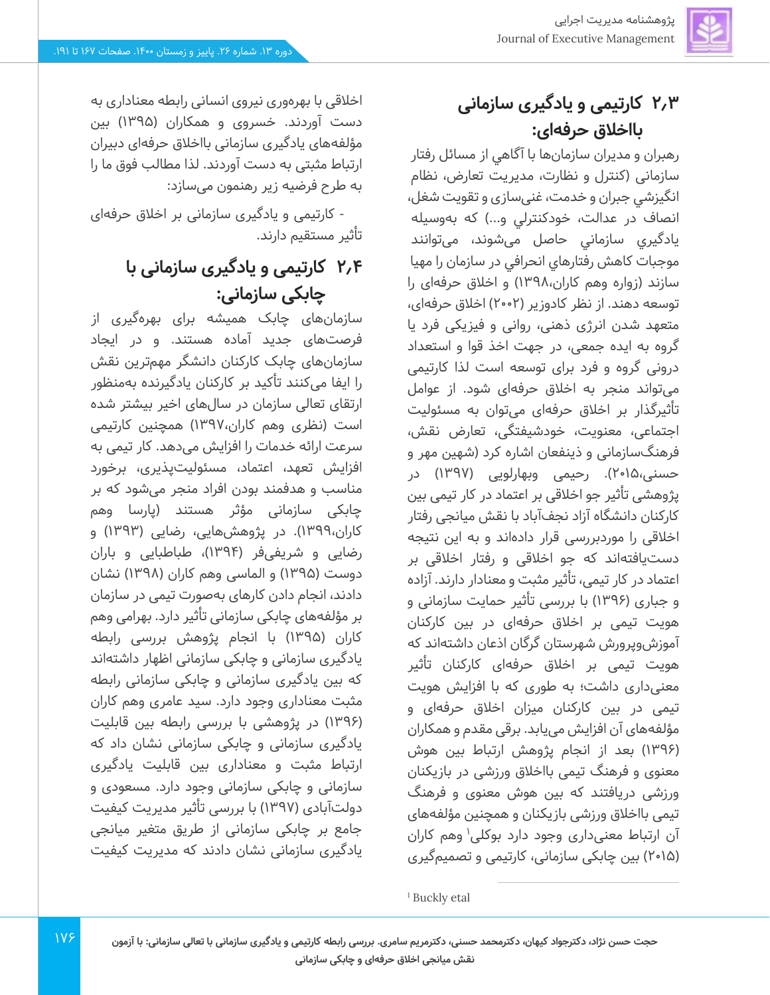## **2.3 کارتیمی و یادگ یری سازمانی بااخالق حرفه ای:**

رهبران و مديران سازمان ها با آگاهي از مسائل رفتار سازمانی ) کنترل و نظارت، مديريت تعارض، نظام انگيزشي جبران و خدمت، غنيسازي و تقويت شغل، انصاف در عدالت، خودکنترلی و...) که بهوسیله يادگيري سازماني حاصل میشوند، می توانند موجبات کاهش رفتارهاي انحرافي در سازمان را مهيا سازند (زواره وهم کاران،۱۳۹۸) و اخلاق حرفهای را توسعه دهند. از نظر کادوزیر )2002( اخالق حرفه ای، متعهد شدن انرژی ذهنی، روانی و فیزی کی فرد یا گروه به ایده جمعی، در جهت اخذ قوا و استعداد درونی گروه و فرد برای توسعه است لذا کارتیمی میتواند منجر به اخالق حرفهای شود. از عوامل تأثیرگذار بر اخالق حرفه ای میتوان به مسئولیت اجتماعی، معنویت، خودشیفتگی، تعارض نقش، فرهنگسازمانی و ذینفعان اشاره کرد )شهین مهر و حسنی،۱۵م۲). رحیمی وبهارلویی (۱۳۹۷) در پژوهشی تأثیر جو اخالقی بر اعتماد در کار تیمی بین کارکنان دانشگاه آزاد نجف آباد با نقش میانجی رفتار اخلاقی را موردبررسی قرار دادهاند و به این نتیجه دست یافتهاند که جو اخالقی و رفتار اخالقی بر اعتماد در کار تیمی، تأثیر مثبت و معنادار دارند. آزاده و جباری (۱۳۹۶) با بررسی تأثیر حمایت سازمانی و هویت تیمی بر اخلاق حرفهای در بین کارکنان آموزشوپرورش شهرستان گرگان اذعان داشته اند که هویت تیمی بر اخلاق حرفهای کارکنان تأثیر معنی داری داشت؛ به طوری که با افزایش هویت تیمی در بین کارکنان میزان اخالق حرفه ای و مؤلفههای آن افزا یش می یابد . برقی مقدم و همکاران )1396( بعد از انجام پژوهش ارتباط بین هوش معنوی و فرهنگ تیمی بااخالق ورزشی در بازیکنان ورزشی دریافتند که بین هوش معنوی و فرهنگ تیمی بااخالق ورزشی بازیکنان و همچنین مؤلفه های آن ارتباط معنیداری وجود دارد بوکلی<sup>۱</sup> وهم کاران )2015( بی ن چابک ی سازمانی، کارتیمی و تصمیم گیری

اخالقی با بهره وری نیروی انسانی رابطه معناداری به دست آوردند. خسروی و همکاران ) 1395( بین مؤلفههای یادگیری سازمانی بااخالق حرفه ای دبیران ارتباط مثبتی به دست آوردند. لذا مطالب فوق ما را به طرح فرضیه زیر رهنمون میسازد:

- کارتیمی و یادگیری سازمانی بر اخالق حرفهای تأثیر مستقیم دارند.

# **2.4 کارتیمی و یادگ یری سازمانی با چابکی سازمانی:**

سازمانهای چابک همیشه برای بهره گیری از فرصت های جدید آماده هستند. و در ایجاد سازمانهای چابک کارکنان دانشگر مهم ترین نقش را ایفا می کنند تأکید بر کارکنان یادگیرنده به منظور ارتقای تعالی سازمان در سال های اخیر بیشتر شده است ) نظری وهم کاران1397،( همچنین کارتیمی سرعت ارائه خدمات را افزایش می دهد. کار تیمی به افزایش تعهد، اعتماد، مسئولیتپذیری، برخورد مناسب و هدفمند بودن افراد منجر می شود که بر چابکی سازمانی مؤثر هستند (پارسا وهم کاران،۱۳۹۹). در پژوهشهایی، رضایی (۱۳۹۳) و رضایی و شریفی فر )1394(، طباطبایی و باران دوست ) 1395( و الماسی وهم کاران )1398( نشان دادند، انجام دادن کارهای به صورت تیمی در سازمان بر مؤلفههای چابکی سازمانی تأثیر دارد. بهرامی وهم کاران )1395( با انجام پژوهش بررسی رابطه یادگیری سازمانی و چابکی سازمانی اظهار داشتهاند که بین یادگیری سازمانی و چابکی سازمانی رابطه مثبت معناداری وجود دارد. سید عامری وهم کاران )1396( در پژوهشی با بررسی رابطه بین قابلیت یادگیری سازمانی و چابکی سازمانی نشان داد که ارتباط مثبت و معناداری بین قابلیت یادگیری سازمانی و چابکی سازمانی وجود دارد. مسعودی و دولت آبادی ) 1397( با بررسی تأثیر مدیریت کیفیت جامع بر چابکی سازمانی از طریق متغیر میانجی یادگیری سازمانی نشان دادند که مدیریت کیفیت

<sup>1</sup> Buckly etal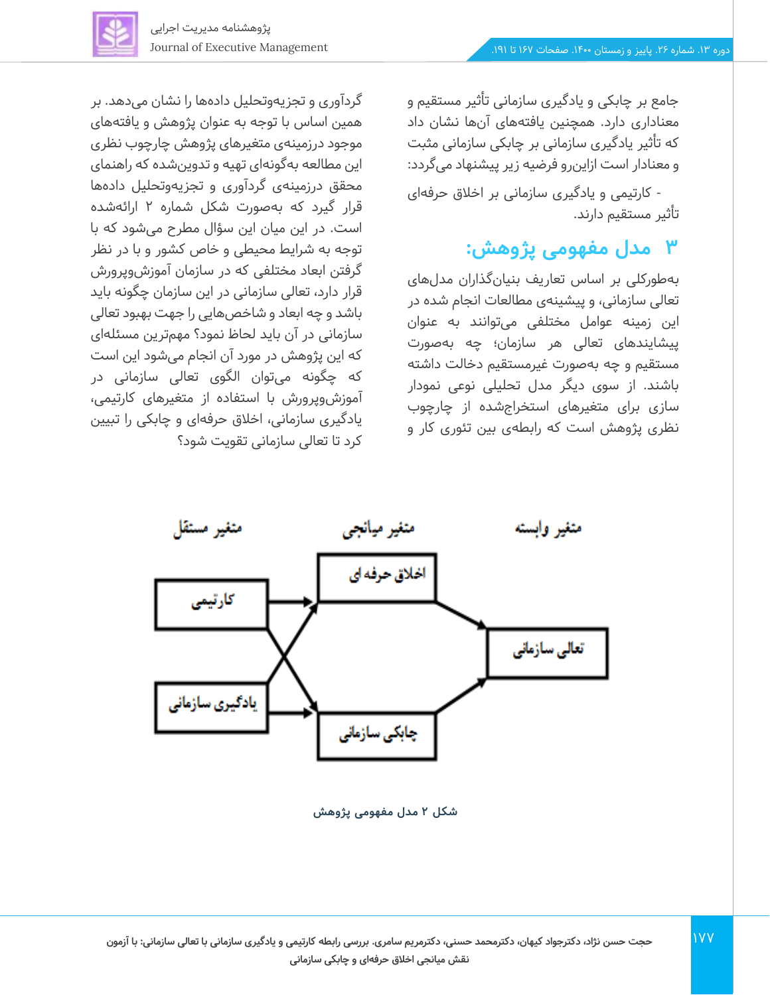

جامع بر چابکی و یادگیری سازمانی تأثیر مستقیم و معناداری دارد. همچنین یافتههای آن ها نشان داد که تأثیر یادگیری سازمانی بر چابکی سازمانی مثبت و معنادار استازا ین رو فرضیه زیر پیشنهاد می گردد:

- کارتیمی و یادگیری سازمانی بر اخالق حرفهای تأثیر مستقیم دارند.

### **3 مدل مفهومی پژوهش:**

بهطورکلی بر اساس تعاریف بنیانگذاران مدلهای تعالی سازمانی، و پیشینه ی مطالعات انجام شده در این زمینه عوامل مختلفی می توانند به عنوان پیشایندهای تعالی هر سازمان؛ چه بهصورت مستقیم و چه به صورت غیرمستقیم دخالت داشته باشند. از سوی دیگر مدل تحلیلی نوعی نمودار سازی برای متغیرهای استخراجشده از چارچوب نظری پژوهش است که رابطهی بین تئوری کار و

گردآوری و تجزیه وتحلیل دادهها را نشان می دهد. بر همین اساس با توجه به عنوان پژوهش و یافتههای موجود درزمینهی متغیرهای پژوهش چارچوب نظری این مطالعه به گونهای تهیه و تدوین شده که راهنمای محقق درزمینهی گردآوری و تجزیه وتحلیل داده ها قرار گیرد که به صورت شکل شماره 2 ارائه شده است. در این میان این سؤال مطرح میشود که با توجه به شرایط محیطی و خاص کشور و با در نظر گرفتن ابعاد مختلفی که در سازمان آموزشوپرورش قرار دارد، تعالی سازمانی در این سازمان چگونه باید باشد و چه ابعاد و شاخص هایی را جهت بهبود تعالی سازمانی در آن باید لحاظ نمود؟ مهم ترین مسئله ای که این پژوهش در مورد آن انجام می شود این است که چگونه می توان الگوی تعالی سازمانی در آموزشوپرورش با استفاده از متغیرهایکارتیمی، یادگیری سازمانی، اخالق حرفهای و چابکی را تبیین کرد تا تعالی سازمانی تقویت شود؟



**شکل 2 مدل مفهومی پژوهش**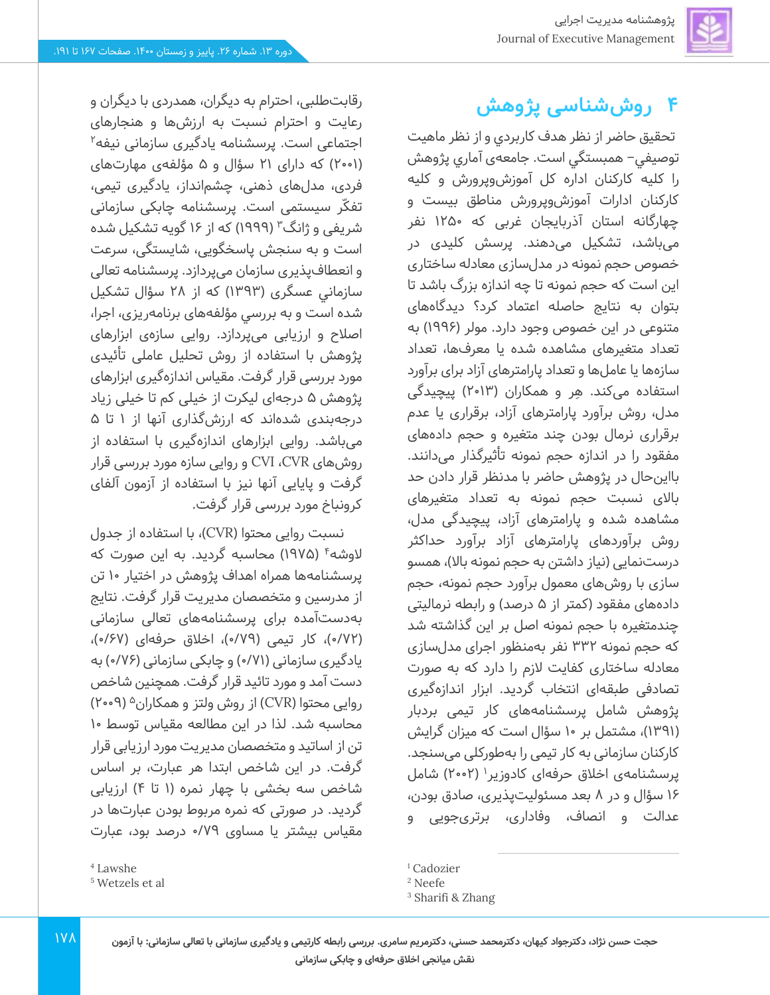# **4 روششناسی پژوهش**

تحقيق حاضر از نظر هدف كاربردي و از نظر ماهیت توصيفي– همبستگي است. جامعهی آماري پژوهش را كليه كاركنان اداره کل آموزشوپرورش و کلیه کارکنان ادارات آموزش وپرورش مناطق بیست و چهارگانه استان آذربایجان غربی که 1250 نفر میباشد، تشكيل می دهند. پرسش کلیدی در خصوص حجم نمونه در مدل سازی معادله ساختاری این است که حجم نمونه تا چه اندازه بزرگ باشد تا بتوان به نتایج حاصله اعتماد کرد؟ دیدگاه های متنوعی در این خصوص وجود دارد. مولر )1996( به تعداد متغیرهای مشاهده شده یا معرف ها، تعداد سازهها یا عاملها و تعداد پارامترهای آزاد برای برآورد استفاده می کند. هِر و همکاران )2013( پیچیدگی مدل، روش برآورد پارامترهای آزاد، برقراری یا عدم برقراری نرمال بودن چند متغیره و حجم داده های مفقود را در اندازه حجم نمونه تأثیرگذار می دانند. بااین حال در پژوهش حاضر با مدنظر قرار دادن حد باالی نسبت حجم نمونه به تعداد متغیرهای مشاهده شده و پارامترهای آزاد، پیچیدگی مدل، روش برآوردهای پارامترهای آزاد برآورد حداکثر درستنمایی (نیاز داشتن به حجم نمونه بالا)، همسو سازی با روش های معمول برآورد حجم نمونه، حجم دادههای مفقود (کمتر از ۵ درصد) و رابطه نرمالیتی چندمتغیره با حجم نمونه اصل بر این گذاشته شد که حجم نمونه 332 نفر به منظور اجرای مدل سازی معادله ساختاری کفایت الزم را دارد که به صورت تصادفی طبقهای انتخاب گردید. ابزار اندازه گیری پژوهش شامل پرسشنامههای کار تیمی بردبار )1391(، مشتمل بر 10 سؤال است که میزان گرایش کارکنان سازمانی به کار تیمی را بهطورکلی می سنجد. پرسشنامهی اخلاق حرفهای کادوزیر' (۲۰۰۲) شامل ۱۶ سؤال و در ۸ بعد مسئولیتیذیری، صادق بودن، عدالت و انصاف، وفاداری، برتری جویی و

<sup>1</sup> Cadozier

رقابت طلبی، احترام به دیگران، همدردی با دیگران و رعایت و احترام نسبت به ارزش ها و هنجارهای اجتماعی است. پرسشنامه یادگیری سازمانی نیفه<sup>۲</sup> )2001( که دارای 21 سؤال و 5 مؤلفهی مهارتهای فردی، مدل های ذهنی، چشمانداز، یادگیری تیمی، تفکّر سیستمی است. پرسشنامه چابکی سازمانی شریفی و ژانگ<sup>۳</sup> (۱۹۹۹) که از ۱۶ گویه تشکیل شده است و به سنجش پاسخگویی، شایستگی، سرعت و انعطاف پذیری سازمان می پردازد. پرسشنامه تعالی سازماني عسگری ) 1393( که از 28 سؤال تشکیل شده است و به بررسي مؤلفههای برنامهریزی، اجرا، اصالح و ارزیابی می پردازد. روایی سازهی ابزارهای پژوهش با استفاده از روش تحلیل عاملی تأئیدی مورد بررسی قرار گرفت. مقیاس اندازهگیری ابزارهای پژوهش 5 درجه ای لیکرت از خیلی کم تا خیلی زیاد درجهبندی شدهاند که ارزشگذاری آنها از ۱ تا ۵ میباشد. روایی ابزارهای اندازهگیری با استفاده از روشهای CVR، CVI و روایی سازه مورد بررسی قرار گرفت و پایایی آنها نیز با استفاده از آزمون آلفای کرونباخ مورد بررسی قرار گرفت.

نسبت روایی محتوا )CVR)، با استفاده از جدول لاوشه<sup>۴</sup> (۱۹۷۵) محاسبه گردید. به این صورت که پرسشنامهها همراه اهداف پژوهش در اختیار 10 تن از مدرسین و متخصصان مدیریت قرار گرفت. نتایج بهدست آمده برای پرسشنامههای تعالی سازمانی (۷۲/۰)، کار تیمی (۷۹/۰)، اخلاق حرفهای (۶۷/۰)، یادگیری سازمانی (۷۱/۰) و چابکی سازمانی (۷۶/۰) به دست آمد و مورد تائید قرار گرفت. همچنین شاخص )2009( <sup>5</sup> روایی محتوا )CVR )از روش ولتز و همکاران محاسبه شد. لذا در این مطالعه مقیاس توسط 10 تن از اساتید و متخصصان مدیریت مورد ارزیابی قرار گرفت. در این شاخص ابتدا هر عبارت، بر اساس شاخص سه بخشی با چهار نمره (۱ تا ۴) ارزیابی گردید. در صورتی که نمره مربوط بودن عبارتها در مقیاس بیشتر یا مساوی 0/79 درصد بود، عبارت

<sup>2</sup> Neefe

<sup>3</sup> Sharifi & Zhang

<sup>4</sup> Lawshe

<sup>5</sup> Wetzels et al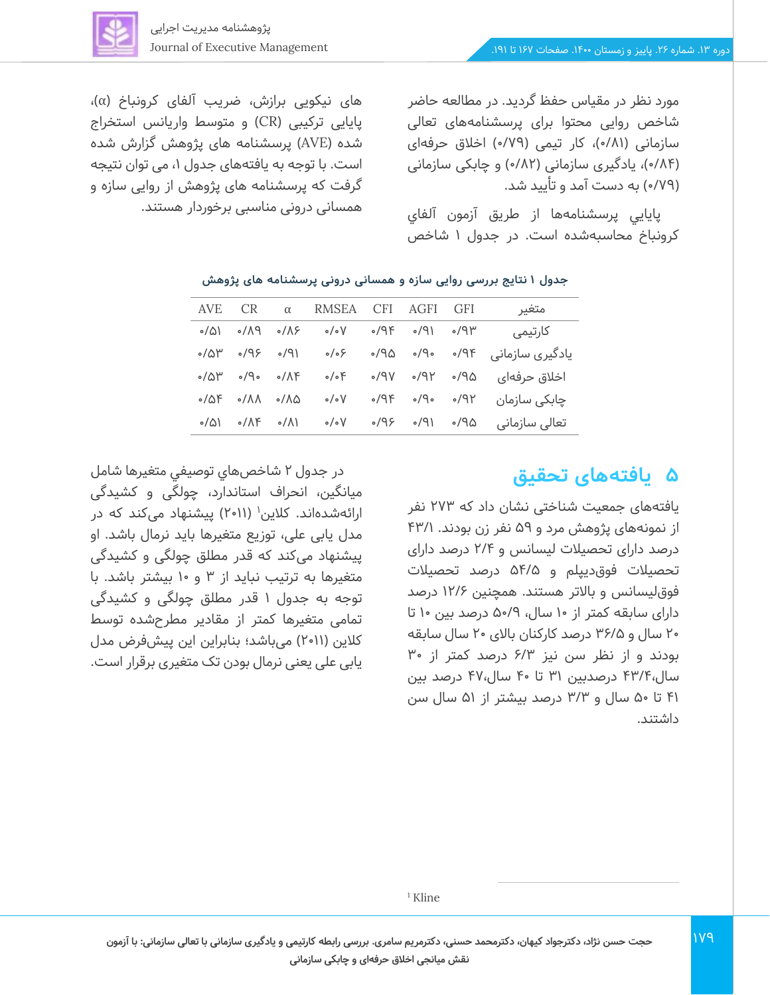مورد نظر در مقیاس حفظ گردید. در مطالعه حاضر شاخص روایی محتوا برای پرسشنامههای تعالی سازمانی (۸۱/۰)، کار تیمی (۷۹/۰) اخلاق حرفهای )0/84(، یادگیری سازمانی )0/82( و چابکی سازمانی )0/79( به دست آمد و تأیید شد.

پايايي پرسشنامه ها از طریق آزمون آلفاي كرونباخ محاسبهشده است. در جدول 1 شاخص

های نیکویی برازش، ضریب آلفای کرونباخ )α)، پایایی ترکیبی )CR )و متوسط واریانس استخراج شده )AVE )پرسشنامه های پژوهش گزارش شده است. با توجه به یافتههای جدول ،1 می توان نتیجه گرفت که پرسشنامه های پژوهش از روایی سازه و همسانی درونی مناسبی برخوردار هستند.

| متغير<br>CR.<br><b>AVE</b><br>RMSEA<br>CFI.<br><b>GFI</b><br>AGFI<br>$\alpha$<br>$\circ$ /9۴<br>$P/\Lambda$<br>$\langle \rho \rangle$<br>$\circ/\Delta$<br>كارتيمى<br>$\delta/N$<br>$\circ/\circ V$<br>۳۶/۰<br>$9P\backslash\circ$ $\circ P\backslash\circ$<br>$\sim$ /۵۳<br>یادگیری سازمانی<br>$\langle \rho \rangle$<br>ە ۹۵.<br>$\sqrt{9}$<br>$\circ/\circ$ ۶<br>$\sim$ /۵۳<br>$\circ$ P $\circ$<br>$\triangle P\backslash o$ $\forall P\backslash o$<br>اخلاق حرفهای<br>$\circ/\circ$ F<br>$\circ / \Lambda$ ۴<br>$\circ/\Delta \mathsf{F}$<br>$\circ$ /9۴<br>$\circ$ /9 $\circ$<br>چابکی سازمان<br>$\lambda/\lambda$<br>$\mathcal{S}/\mathcal{S}$ ه<br>$\circ/\circ V$<br>$\circ/\Lambda\Delta$<br>تعالى سازمانى<br>$(P\backslash\circ$ $\langle P\rangle\circ$<br>$\circ/\triangle$<br>$\circ/\Lambda$ ۴<br>$\circ/\circ V$<br>۵۳/۰<br>$\sqrt{\Lambda}$ |  |  |  |  |
|---------------------------------------------------------------------------------------------------------------------------------------------------------------------------------------------------------------------------------------------------------------------------------------------------------------------------------------------------------------------------------------------------------------------------------------------------------------------------------------------------------------------------------------------------------------------------------------------------------------------------------------------------------------------------------------------------------------------------------------------------------------------------------------------------------------------------------------------------------------|--|--|--|--|
|                                                                                                                                                                                                                                                                                                                                                                                                                                                                                                                                                                                                                                                                                                                                                                                                                                                               |  |  |  |  |
|                                                                                                                                                                                                                                                                                                                                                                                                                                                                                                                                                                                                                                                                                                                                                                                                                                                               |  |  |  |  |
|                                                                                                                                                                                                                                                                                                                                                                                                                                                                                                                                                                                                                                                                                                                                                                                                                                                               |  |  |  |  |
|                                                                                                                                                                                                                                                                                                                                                                                                                                                                                                                                                                                                                                                                                                                                                                                                                                                               |  |  |  |  |
|                                                                                                                                                                                                                                                                                                                                                                                                                                                                                                                                                                                                                                                                                                                                                                                                                                                               |  |  |  |  |
|                                                                                                                                                                                                                                                                                                                                                                                                                                                                                                                                                                                                                                                                                                                                                                                                                                                               |  |  |  |  |

#### **جدول 1 نتایج بررسی روایی سازه و همسانی درونی پرسشنامه های پژوهش**

### **5 یافتههای تحقیق**

یافتههای جمعیت شناختی نشان داد که 273 نفر از نمونه های پژوهش مرد و 59 نفر زن بودند. /1 43 درصد دارای تحصیالت لیسانس و 2/4 درصد دارای تحصیالت فوق د یپلم و /5 54 درصد تحصیالت فوقلیسانس و باالتر هستند. همچنین /6 12 درصد دارای سابقه کمتر از 10 سال، 50/9 درصد بین 10 تا 20 سال و /5 36 درصد کارکنان باالی 20 سال سابقه بودند و از نظر سن نیز 6/3 درصد کمتر از 30 سال43/4، درصدبین 31 تا 40 سال47، درصد بین 41 تا 50 سال و /3 3 درصد بیشتر از 51 سال سن داشتند.

در جدول 2 شاخص هاي توصيفي متغيرها شامل میانگین، انحراف استاندارد، چولگی و کشیدگی ارائهشدهاند. کلاین' (۲۰۱۱) پیشنهاد میکند که در مدل یابی علی، توزیع متغیرها باید نرمال باشد. او پیشنهاد می کند که قدر مطلق چولگی و کشیدگی متغیرها به ترتیب نباید از 3 و 10 بیشتر باشد. با توجه به جدول 1 قدر مطلق چولگی و کشیدگی تمامی متغیرها کمتر از مقادیر مطرح شده توسط کالین ) 2011( می باشد؛ بنابراین این پیش فرض مدل یابی علی یعنی نرمال بودن تک متغیری برقرار است.

<sup>1</sup> Kline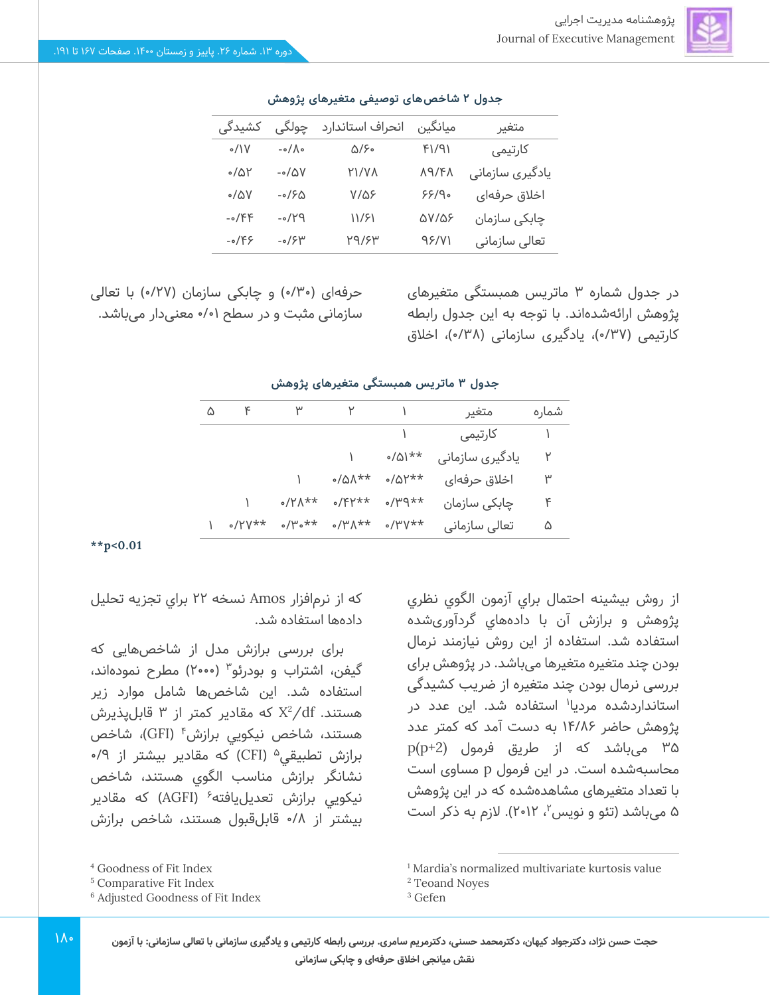

| جدول ۲ شاخصهای توصیفی متغیرهای پژوهش |                        |                  |              |                 |  |  |  |  |
|--------------------------------------|------------------------|------------------|--------------|-----------------|--|--|--|--|
| کشیدگی                               | چولگی                  | انحراف استاندارد | ميانگين      | متغير           |  |  |  |  |
| $\circ/$                             | $-\circ/\Lambda \circ$ | ۵/۶۰             | F1/91        | كارتيمى         |  |  |  |  |
| 0/01                                 | $-0/\Delta V$          | Y1/VA            | <b>A9/FA</b> | یادگیری سازمانی |  |  |  |  |
| $\circ/\triangle V$                  | $-0/50$                | <b>V/Q۶</b>      | 99/90        | اخلاق حرفهای    |  |  |  |  |
| $-0$ / $FP$                          | $PY\backslash \circ$ - | 11/۶1            | <b>QV/Q۶</b> | چابکی سازمان    |  |  |  |  |
| $-0/F5$                              | $-0/5$                 | ۳۹/۶۳            | 98/71        | تعالى سازمانى   |  |  |  |  |

در جدول شماره 3 ماتریس همبستگی متغیرهای پژوهش ارائهشدهاند. با توجه به این جدول رابطه کارتیمی (۰/۳۷)، یادگیری سازمانی (۳۸/۰)، اخلاق

حرفهای (۳۰/۰) و چابکی سازمان (۲۷/۰) با تعالی سازمانی مثبت و در سطح 0/01 معنی دار می باشد.

# شماره متغیر 1 2 3 4 5

**ج دول 3 ماتریس همبستگی متغیرهای پژوهش** 

|               |                          |                          |                  | ۱ کارتیمی       |              |
|---------------|--------------------------|--------------------------|------------------|-----------------|--------------|
|               |                          |                          | **۱۵/۰           | یادگیری سازمانی | $\mathsf{Y}$ |
|               |                          | ∘/۵∧**                   | $0/0$ $V^*$      | اخلاق حرفهای    | ٣            |
|               | $\alpha$ /۲ $\Lambda$ ** | $0$ / $F$ $\uparrow$ **  | $*^{++p}$        | چابکی سازمان    | $\kappa$     |
| $\cdot$ /۲۷** | $\circ/\mu$ °**          | $\alpha$ /۳ $\Lambda$ ** | $\cdot$ /۳ $V^*$ | تعالى سازمانى   | ۵            |

**\*\*p<0.01**

که از نرم افزار Amos نسخه 22 براي تجزيه تحليل داده ها استفاده شد.

برای بررسی برازش مدل از شاخص هایی که گيفن، اشتراب و بودرئو<sup>۳</sup> (۲۰۰۰) مطرح نمودهاند، استفاده شد. اين شاخص ها شامل موارد زير هستند. X $^2$ /df که مقادیر کمتر از ۳ قابل $\mu$ ذیرش هستند، شاخص نيکويی برازش<sup>۴</sup> (GFI)، شاخص برازش تطبيقى<sup>۵</sup> (CFI) که مقادير بيشتر از ۹/۰ نشانگر برازش مناسب الگوي هستند، شاخص نیکویی برازش تعدیلuیافته ٔ (AGFI) که مقادیر بيشتر از 0/8 قابل قبول هستند، شاخص برازش

 $\Lambda$ 

از روش بيشينه احتمال براي آزمون الگوي نظري پژوهش و برازش آن با داده هاي گردآوری شده استفاده شد. استفاده از این روش نیازمند نرمال بودن چند متغیره متغیرها می باشد. در پژوهش برای بررسی نرمال بودن چند متغیره از ضریب کشیدگی استانداردشده مردیا<sup>۱</sup> استفاده شد. این عدد در پژوهش حاضر 14/86 به دست آمد که کمتر عدد 35 می باشد که از طریق فرمول (+2p(p محاسبهشده است. در این فرمول p مساوی است با تعداد متغیرهای مشاهده شده که در این پژوهش ۵ میباشد (تئو و نویس<sup>۲</sup>، ۲۰۱۲). لازم به ذکر است

<sup>4</sup> Goodness of Fit Index

<sup>5</sup> Comparative Fit Index

<sup>6</sup> Adjusted Goodness of Fit Index

<sup>1</sup> Mardia's normalized multivariate kurtosis value

<sup>2</sup> Teoand Noyes

<sup>3</sup> Gefen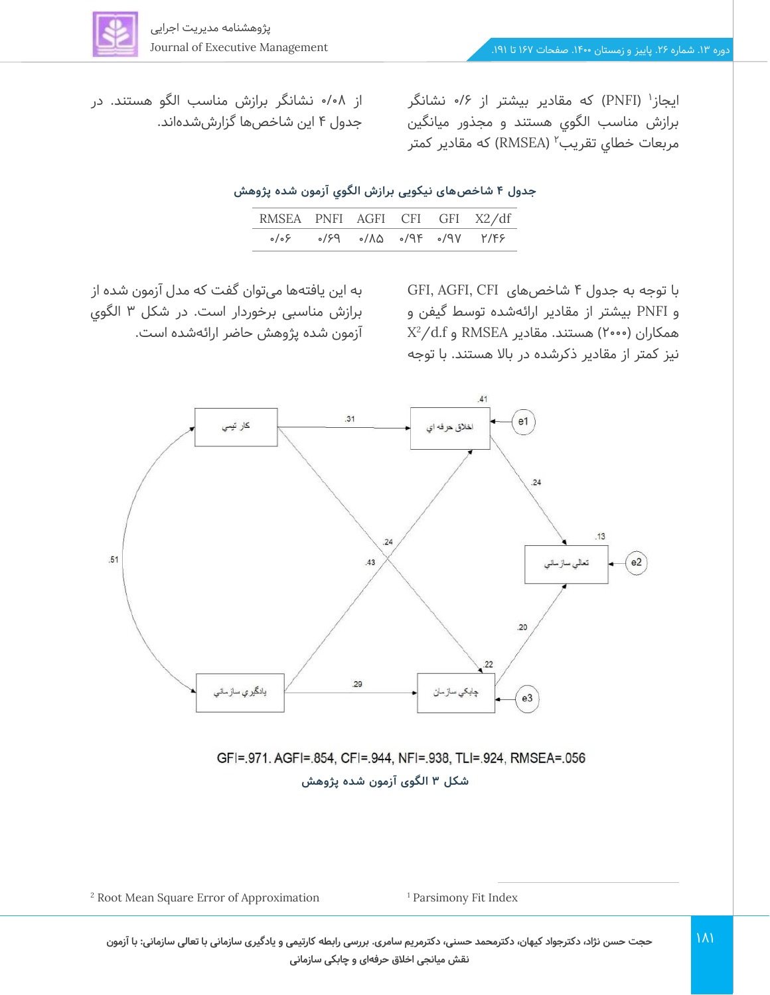ایجاز<sup>۱</sup> (PNFI) که مقادیر بیشتر از ۰/۶ نشانگر برازش مناسب الگوي هستند و مجذور ميانگين مربعات خطای تقریب'' (RMSEA) که مقادیر کمتر

از 0/08 نشانگر برازش مناسب الگو هستند. در جدول 4 این شاخص ها گزارششدهاند.

**جدول 4 شاخص ها ی نیکویی برازش الگوي آزمون شده پژوهش** 

| RMSEA PNFI AGFI CFI GFI X2/df |                             |  |  |
|-------------------------------|-----------------------------|--|--|
|                               | ۱٬۴۶ کال ۱۹۲۰ (۱۸۸ کال کولو |  |  |

با توجه به جدول 4 شاخص های CFI ,AGFI ,GFI و PNFI بیشتر از مقادیر ارائهشده توسط گیفن و  $X^2/d.f$  و RMSEA و Y°•۰) هستند. مقادیر نیز کمتر از مقادیر ذکرشده در باال هستند. با توجه

به این یافتهها می توان گفت که مدل آزمون شده از برازش مناسبی برخوردار است. در شکل 3 الگوي آزمون شده پژوهش حاضر ارائهشده است.



GFI=.971. AGFI=.854, CFI=.944, NFI=.938, TLI=.924, RMSEA=.056 **شکل 3 الگوی آزمون شده پژوهش** 

<sup>2</sup> Root Mean Square Error of Approximation <sup>1</sup> Parsimony Fit Index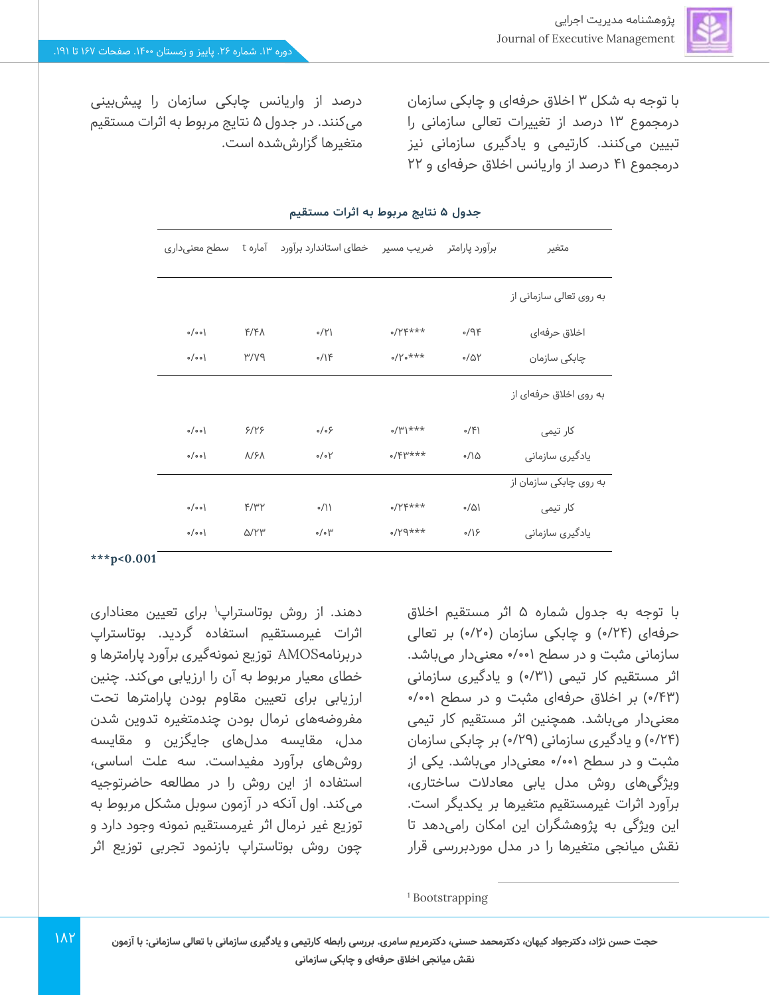با توجه به شکل 3 اخالق حرفهای و چابکی سازمان درمجموع 13 درصد از تغییرات تعالی سازمانی را تبیین می کنند. کارتیمی و یادگیری سازمانی نیز درمجموع 41 درصد از واریانس اخالق حرفه ای و 22

درصد از واریانس چابکی سازمان را پیش بینی میکنند. در جدول 5 نتایج مربوط به اثرات مستقیم متغیرها گزارششده است.

| سطح معنىدارى |                        | خطای استاندارد برآورد آماره t | ضريب مسير          | برآورد پارامتر                    | متغير                   |  |
|--------------|------------------------|-------------------------------|--------------------|-----------------------------------|-------------------------|--|
|              |                        |                               |                    |                                   | به روی تعالی سازمانی از |  |
| o/o o        | $F/F\Lambda$           | 0/1                           | $0$ / $Y$ $Y$ ***  | 99                                | اخلاق حرفهای            |  |
| o/o o        | PVV                    | 0/15                          | $0$ /Yo***         | $0/\Delta Y$                      | چابکی سازمان            |  |
|              |                        |                               |                    |                                   | به روی اخلاق حرفهای از  |  |
| o/o o        | 9/19                   | $\circ/\circ$                 | $\frac{1}{2}$      | 0/5                               | کار تیمی                |  |
| o/o o)       | $\Lambda$ /۶ $\Lambda$ | $\circ/\circ\uparrow$         | $0/$ $F$ $\mu$ *** | $\circ / \backslash \vartriangle$ | یادگیری سازمانی         |  |
|              |                        |                               |                    |                                   | به روی چابکی سازمان از  |  |
| o/o o)       | F/Y'Y                  | $\frac{1}{2}$                 | $0/YF***$          | $\sqrt{\Delta}$                   | کار تیمی                |  |
| o/o o        | Q/YY                   | $\circ/\circ$ $\uparrow$      | $***$ $PY$         | $\frac{1}{2}$                     | یادگیری سازمانی         |  |

#### **جدول 5 نتایج مربوط به اثرات مستقیم**

**\*\*\*p<0.001**

دهند. از روش بوتاستراپ<sup>۱</sup> برای تعیین معناداری اثرات غیرمستقیم استفاده گردید. بوتاستراپ دربرنامهAMOS توز یع نمونه گیری برآورد پارامترها و خطای معیار مربوط به آن را ارزیابی می کند. چنین ارزیابی برای تعیین مقاوم بودن پارامترها تحت مفروضه های نرمال بودن چندمتغیره تدوین شدن مدل، مقایسه مدل های جایگزین و مقا یسه روشهای برآورد مفیداست . سه علت اساسی، استفاده از این روش را در مطالعه حاضرتوجیه میکند. اول آنکه در آزمون سوبل مشکل مربوط به توزیع غیر نرمال اثر غیرمستقیم نمونه وجود دارد و چون روش بوتاستراپ بازنمود تجربی توزیع اثر

با توجه به جدول شماره 5 اثر مستقیم اخالق حرفهای (۷۴/۰) و چابکی سازمان (۲۰/۰) بر تعالی سازمانی مثبت و در سطح 0/001 معنی دار می باشد. اثر مستقیم کار تیمی (۳۱/۰) و یادگیری سازمانی )0/43( بر اخالق حرفهای مثبت و در سطح 0/001 معنیدار می باشد. همچنین اثر مستقیم کار تیمی )0/24( و یادگیری سازمانی )0/29( بر چابکی سازمان مثبت و در سطح ۰/۰۰۱ معنیدار می باشد. یکی از ویژگی های روش مدل یابی معادالت ساختاری، برآورد اثرات غیرمستقیم متغیرها بر یکدیگر است. این ویژگی به پژوهشگران این امکان رامی دهد تا نقش میانجی متغیرها را در مدل موردبررسی قرار

<sup>1</sup> Bootstrapping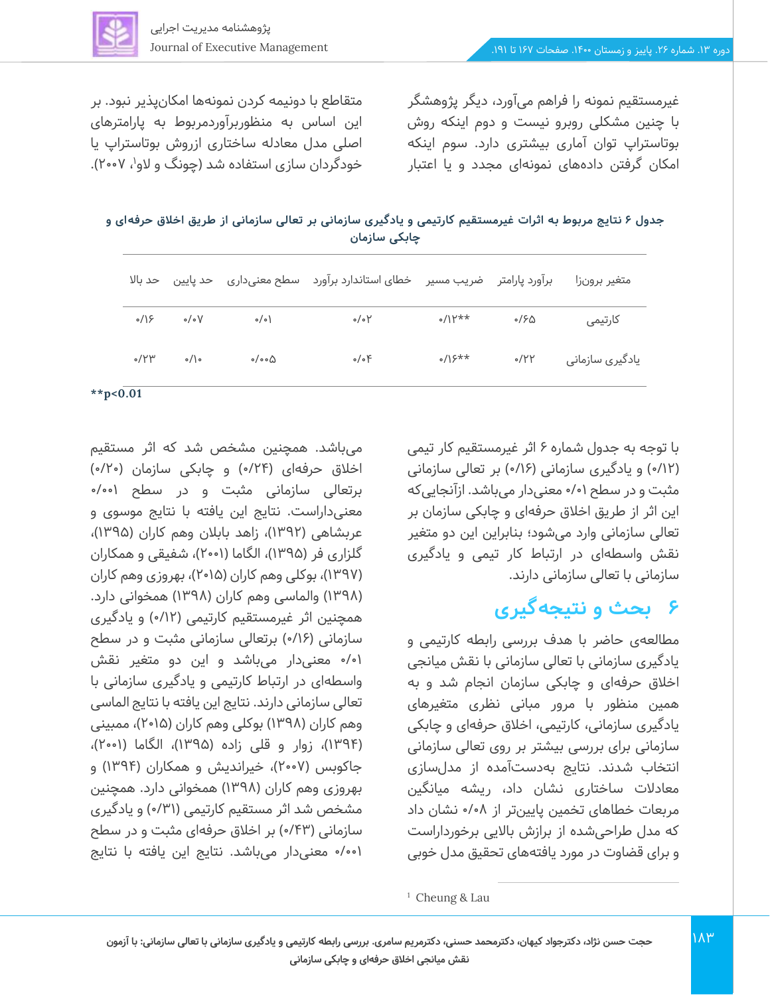

متقاطع با دونیمه کردن نمونهها امکان پذیر نبود. بر این اساس به منظوربرآوردمربوط به پارامترهای

اصلی مدل معادله ساختاری ازروش بوتاستراپ یا خودگردان سازی استفاده شد (چونگ و لاو<sup>۱</sup>، ۲۰۰۷). غیرمستقیم نمونه را فراهم میآورد، دیگر پژوهشگر با چنین مشکلی روبرو نیست و دوم اینکه روش بوتاستراپ توان آماری بیشتری دارد. سوم اینکه امکان گرفتن داده های نمونهای مجدد و یا اعتبار

جدول ۶ نتایج مربوط به اثرات غیرمستقیم کارتیمی و یادگیری سازمانی بر تعالی سازمانی از طریق اخلاق حرفه ای و **چابکی سازمان** 

| حد بالا            |                  |                               | خطای استاندارد برآورد   سطح معنیداری   حد پایین | برآورد پارامتر     ضریب مسیر |      | متغير برونزا    |
|--------------------|------------------|-------------------------------|-------------------------------------------------|------------------------------|------|-----------------|
| $\circ$ /) $\circ$ | $\circ/\circ V$  | $\circ/\circ$                 | $\circ/\circ \gamma$                            | $0/11^{***}$                 | 0/50 | كارتيمى         |
| $\circ$ /۲۳        | $\circ/$ $\circ$ | $\circ/\circ \circ \triangle$ | $\circ/\circ$ F                                 | $s/15**$                     | 0/YY | یادگیری سازمانی |

**\*\*p<0.01**

با توجه به جدول شماره 6 اثر غیرمستقیم کار تیمی )/12 0( و یادگیری سازمانی ) 0/16( بر تعالی سازمانی مثبت و در سطح 0/01 معنی دار می باشد. ازآنجایی که این اثر از طریق اخالق حرفه ای و چابکی سازمان بر تعالی سازمانی وارد می شود؛ بنابراین این دو متغیر نقش واسطهای در ارتباط کار تیمی و یادگیری سازمانی با تعالی سازمانی دارند.

# **6 بحث و نتیجهگیری**

مطالعهی حاضر با هدف بررسی رابطه کارتیمی و یادگیری سازمانی با تعالی سازمانی با نقش میانجی اخالق حرفهای و چابکی سازمان انجام شد و به همین منظور با مرور مبانی نظری متغیرهای یادگیری سازمانی، کارتیمی، اخالق حرفه ای و چابکی سازمانی برای بررسی بیشتر بر روی تعالی سازمانی انتخاب شدند. نتایج به دست آمده از مدل سازی معادالت ساختاری نشان داد، ریشه میانگین مربعات خطاهای تخمین پایینتر از ۰/۰۸ نشان داد که مدل طراحی شده از برازش باالیی برخورداراست و برای قضاوت در مورد یافتههای تحقیق مدل خوبی

اخلاق حرفهای (۷۴/ه) و چابکی سازمان (۲۰/۰) برتعالی سازمانی مثبت و در سطح ۰/۰۰۱ معنیداراست. نتایج این یافته با نتا یج موسوی و عربشاهی (۱۳۹۲)، زاهد بابلان وهم کاران (۱۳۹۵)، گلزاری فر (۱۳۹۵)، الگاما (۲۰۰۱)، شفیقی و همکاران (۱۳۹۷)، بوکلی وهم کاران (۲۰۱۵)، بهروزی وهم کاران (۱۳۹۸) والماسی وهم کاران (۱۳۹۸) همخوانی دارد. همچنین اثر غیرمستقیم کارتیمی )0/12( و یادگیری سازمانی (۰/۱۶) برتعالی سازمانی مثبت و در سطح 0/01 معنی دار می باشد و این دو متغیر نقش واسطهای در ارتباط کارتیمی و یادگیری سازمانی با تعالی سازمانی دارند. نتایج این یافته با نتایج الماسی وهم کاران (۱۳۹۸) بوکلی وهم کاران (۲۰۱۵)، ممبینی (۱۳۹۴)، زوار و قلی زاده (۱۳۹۵)، الگاما (۲۰۰۱)، جاکوبس (۲۰۰۷)، خیراندیش و همکاران (۱۳۹۴) و بهروزی وهم کاران )1398( همخوانی دارد. همچنین مشخص شد اثر مستقیم کارتیمی ) 0/31( و یادگیری سازمانی (۶۳%) بر اخلاق حرفهای مثبت و در سطح /001 0 معنی دار می باشد. نتایج این یافته با نتایج

میباشد. همچنین مشخص شد که اثر مستقیم

<sup>1</sup> Cheung & Lau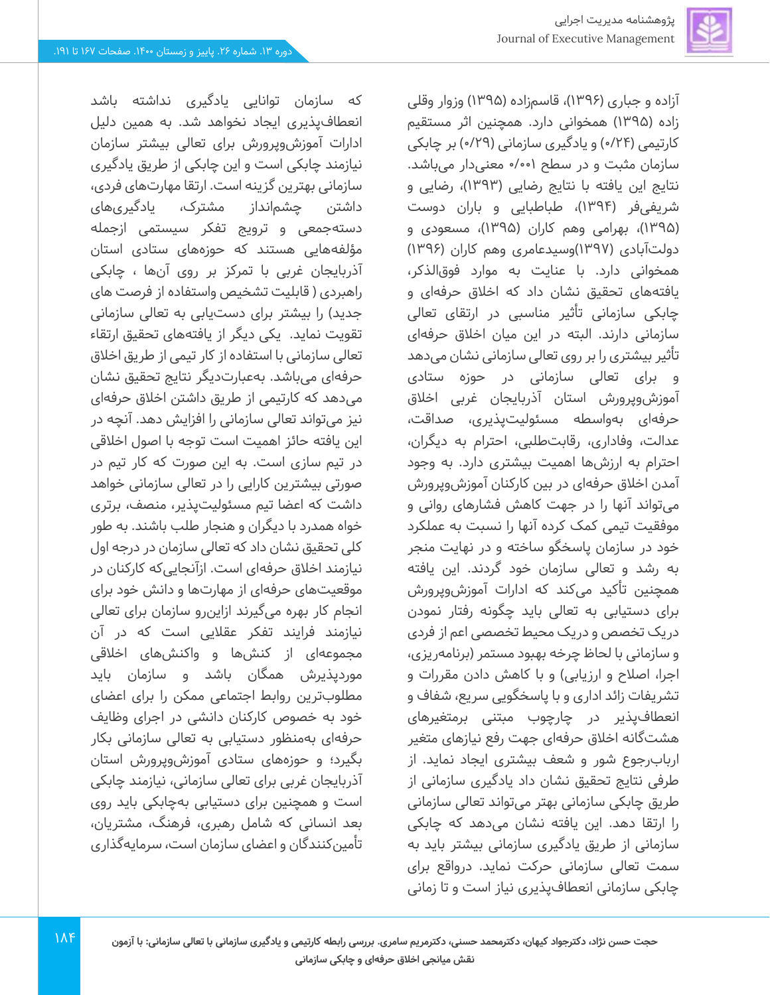

آزاده و جباری (۱۳۹۶)، قاسمزاده (۱۳۹۵) وزوار وقلی زاده (۱۳۹۵) همخوانی دارد. همچنین اثر مستقیم کارتیمی (۰/۲۴ و یادگیری سازمانی (۲۹/۰) بر چابکی سازمان مثبت و در سطح 0/001 معنیدار می باشد. نتایج این یافته با نتایج رضایی (۱۳۹۳)، رضایی و شریفی فر )1394(، طباطبایی و باران دوست )1395(، بهرامی وهم کاران )1395(، مسعودی و دولتآبادی (۱۳۹۷)وسیدعامری وهم کاران (۱۳۹۶) همخوانی دارد. با عنایت به موارد فوقالذکر، یافتههای تحقیق نشان داد که اخلاق حرفهای و چابکی سازمانی تأثیر مناسبی در ارتقای تعالی سازمانی دارند. البته در این میان اخالق حرفه ای تأثیر بیشتری را بر روی تعالی سازمانی نشان می دهد و برای تعالی سازمانی در حوزه ستادی آموزشوپرورش استان آذربایجان غربی اخالق حرفهای به واسطه مسئولیتپذیری، صداقت، عدالت، وفاداری، رقابت طلبی، احترام به دیگران، احترام به ارزشها اهمیت بیشتری دارد. به وجود آمدن اخالق حرفهای در بین کارکنان آموزش وپرورش میتواند آنها را در جهت کاهش فشارهای روانی و موفقیت تیمی کمک کرده آنها را نسبت به عملکرد خود در سازمان پاسخگو ساخته و در نهایت منجر به رشد و تعالی سازمان خود گردند. این یافته همچنین تأکید میکند که ادارات آموزشوپرورش برای دستیابی به تعالی باید چگونه رفتار نمودن دریک تخصص و در یک محیط تخصصی اعم از فردی و سازمانی با لحاظ چرخه بهبود مستمر )برنامه ریزی، اجرا، اصلاح و ارزیابی) و با کاهش دادن مقررات و تشریفات زائد اداری و با پاسخگویی سریع، شفاف و انعطافپذیر در چارچوب مبتنی برمتغیرهای هشت گانه اخالق حرفه ای جهت رفع نیازهای متغیر اربابرجوع شور و شعف بیشتری ایجاد نماید. از طرفی نتایج تحقیق نشان داد یادگیری سازمانی از طریق چابکی سازمانی بهتر میتواند تعالی سازمانی را ارتقا دهد. این یافته نشان می دهد که چابکی سازمانی از طریق یادگیری سازمانی بیشتر باید به سمت تعالی سازمانی حرکت نماید. درواقع برای چابکی سازمانی انعطافپذیر ی نیاز است و تا زمانی

که سازمان توانایی یادگیری نداشته باشد انعطافپذیری ایجاد نخواهد شد. به همین دلیل ادارات آموزش وپرورش برای تعالی بیشتر سازمان نیازمند چابکی است و این چابکی از طریق یادگیری سازمانی بهترین گزینه است. ارتقا مهارتهای فردی، داشتن چشم انداز مشترک، یادگیریهای دستهجمعی و ترویج تفکر سیستمی ازجمله مؤلفههایی هستند که حوزههای ستادی استان آذربایجان غربی با تمرکز بر روی آن ها ، چابکی راهبردی ) قابلیت تشخیص واستفاده از فرصت های جدید) را بیشتر برای دستیابی به تعالی سازمانی تقویت نماید. یکی دیگر از یافتههای تحقیق ارتقاء تعالی سازمانی با استفاده از کار تیمی از طریق اخالق حرفهای می باشد. به عبارتدیگر نتایج تحقیق نشان میدهد که کارتیمی از طریق داشتن اخالق حرفه ای نیز میتواند تعالی سازمانی را افزایش دهد. آنچه در این یافته حائز اهمیت است توجه با اصول اخالقی در تیم سازی است. به این صورت که کار تیم در صورتی بیشترین کارایی را در تعالی سازمانی خواهد داشت که اعضا تیم مسئولی ت پذیر، منصف، برتری خواه همدرد با دیگران و هنجار طلب باشند. به طور کلی تحقیق نشان داد که تعالی سازمان در درجه اول نیازمند اخلاق حرفهای است. ازآنجایی که کارکنان در موقعیتهای حرفه ای از مهارتها و دانش خود برای انجام کار بهره می گیرند ازاینرو سازمان برای تعالی نیازمند فرایند تفکر عقالیی است که در آن مجموعهای از کنشها و واکنشهای اخلاقی موردپذ یرش همگان باشد و سازمان باید مطلوبترین روابط اجتماعی ممکن را برای اعضای خود به خصوص کارکنان دانشی در اجرای وظایف حرفهای بهمنظور دستیابی به تعالی سازمانی بکار بگیرد؛ و حوزه های ستادی آموزشوپرورش استان آذربایجان غربی برای تعالی سازمانی، نیازمند چابکی است و همچنین برای دستیابی بهچابکی باید روی بعد انسان ی که شامل رهبری، فرهنگ، مشتریان، تأمینکنندگان و اعضای سازمان است، سرمایهگذاری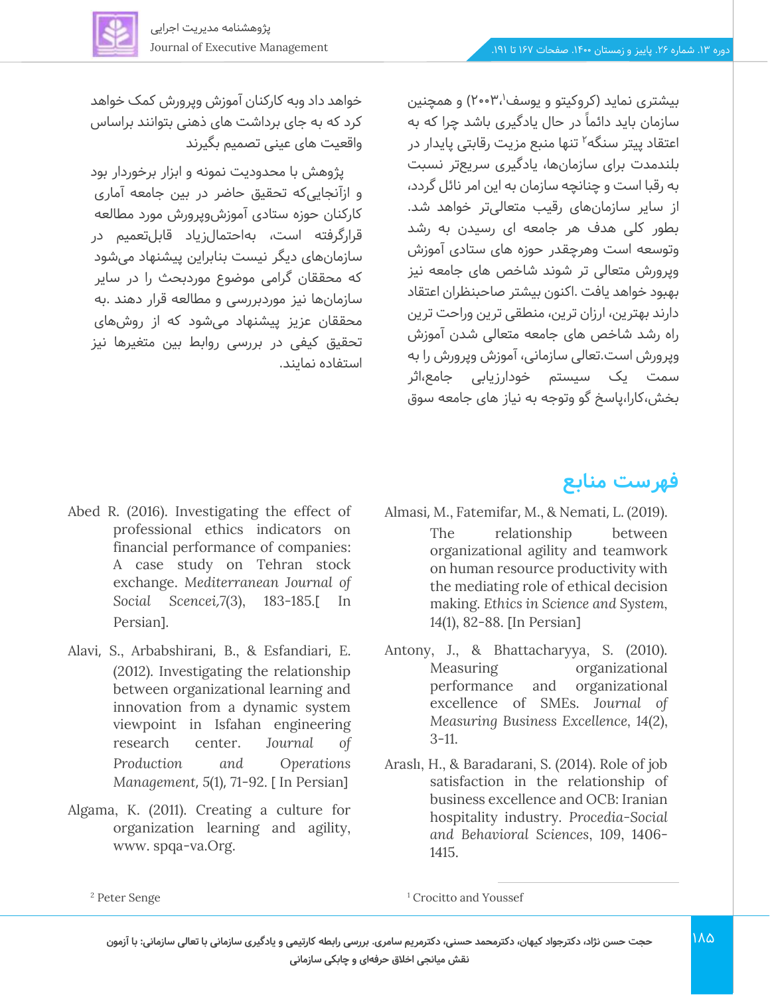

خواهد داد وبه کارکنان آموزش وپرورش کمک خواهد کرد که به جای برداشت های ذهنی بتوانند براساس واقعیت های عینی تصمیم بگیرند

پژوهش با محدودیت نمونه و ابزار برخوردار بود و ازآنجا یی که تحقیق حاضر در بین جامعه آماری کارکنان حوزه ستادی آموزش وپرورش مورد مطالعه قرارگرفته است، بهاحتمال زیاد قابل تعمیم در سازمانهای دیگر نیست بنابراین پیشنهاد می شود که محققان گرامی موضوع موردبحث را در سایر سازمانها نیز موردبررسی و مطالعه قرار دهند .به محققان عزیز پیشنهاد می شود که از روش های تحقیق کیفی در بررسی روابط بین متغیرها نیز استفاده نمایند.

- Abed R. (2016). Investigating the effect of professional ethics indicators on financial performance of companies: A case study on Tehran stock exchange. *Mediterranean Journal of Social Scencei*,*7*(3), 183-185.] In Persian<sub>l.</sub>
- Alavi, S., Arbabshirani, B., & Esfandiari, E. (2012). Investigating the relationship between organizational learning and innovation from a dynamic system viewpoint in Isfahan engineering research center. *Journal of Production and Operations Management, 5(1), 71-92.* [ In Persian]
- Algama, K. (2011). Creating a culture for organization learning and agility, www. spqa-va.Org.

### **فهرست منابع**

- Almasi, M., Fatemifar, M., & Nemati, L. (2019). The relationship between organizational agility and teamwork on human resource productivity with the mediating role of ethical decision making. *Ethics in Science and System,*  14(1), 82-88. [In Persian]
- Antony, J., & Bhattacharyya, S. (2010). Measuring organizational performance and organizational excellence of SMEs. *Journal of Measuring Business Excellence, 14*(2), 3-11.
- Araslı, H., & Baradarani, S. (2014). Role of job satisfaction in the relationship of business excellence and OCB: Iranian hospitality industry. *Procedia-Social and Behavioral Sciences*, *109*, 1406- 1415.

<sup>1</sup> Crocitto and Youssef

<sup>2</sup> Peter Senge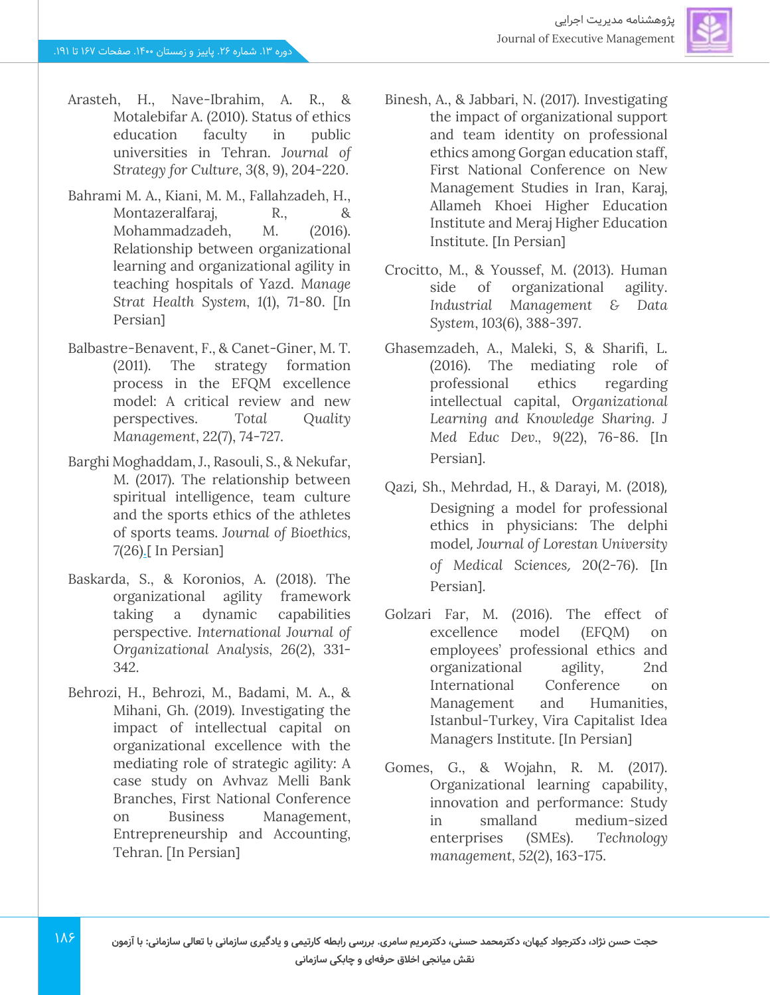

- Arasteh, H., Nave-Ibrahim, A. R., & Motalebifar A. (2010). Status of ethics education faculty in public universities in Tehran. *Journal of Strategy for Culture, 3*(8, 9), 204-220.
- Bahrami M. A., Kiani, M. M., Fallahzadeh, H., Montazeralfaraj, R., & Mohammadzadeh, M. (2016). Relationship between organizational learning and organizational agility in teaching hospitals of Yazd. *Manage Strat Health System, 1*(1), 71-80. [In Persian<sub>1</sub>
- Balbastre-Benavent, F., & Canet-Giner, M. T. (2011). The strategy formation process in the EFQM excellence model: A critical review and new perspectives. *Total Quality Management*, 22(7), 74-727.
- Barghi Moghaddam, J., Rasouli, S., & Nekufar, M. (2017). The relationship between spiritual intelligence, team culture and the sports ethics of the athletes of sports teams. *Journal of Bioethics,*  7(26[\).](http://journals.sbmu.ac.ir/en-be/issue/view/1286)[In Persian]
- Baskarda, S., & Koronios, A. (2018). The organizational agility framework taking a dynamic capabilities perspective. *International Journal of Organizational Analysis, 26*(2), 331- 342.
- Behrozi, H., Behrozi, M., Badami, M. A., & Mihani, Gh. (2019). Investigating the impact of intellectual capital on organizational excellence with the mediating role of strategic agility: A case study on Avhvaz Melli Bank Branches, First National Conference on Business Management, Entrepreneurship and Accounting, Tehran. [In Persian]
- Binesh, A., & Jabbari, N. (2017). Investigating the impact of organizational support and team identity on professional ethics among Gorgan education staff, First National Conference on New Management Studies in Iran, Karaj, Allameh Khoei Higher Education Institute and Meraj Higher Education Institute. [In Persian]
- Crocitto, M., & Youssef, M. (2013). Human side of organizational agility. *Industrial Management & Data System*, *103*(6), 388-397.
- Ghasemzadeh, A., Maleki, S, & Sharifi, L. (2016). The mediating role of professional ethics regarding intellectual capital, O*rganizational Learning and Knowledge Sharing. J Med Educ Dev., 9(22), 76-86.* [In Persian].
- Qazi, Sh., Mehrdad, H., & Darayi, M. (2018), Designing a model for professional ethics in physicians: The delphi model, *Journal of Lorestan University*  of Medical Sciences, 20(2-76). [In Persian].
- Golzari Far, M. (2016). The effect of excellence model (EFQM) on employees' professional ethics and organizational agility, 2nd International Conference on Management and Humanities, Istanbul-Turkey, Vira Capitalist Idea Managers Institute. [In Persian]
- Gomes, G., & Wojahn, R. M. (2017). Organizational learning capability, innovation and performance: Study in smalland medium-sized enterprises (SMEs). *Technology management, 52*(2), 163-175.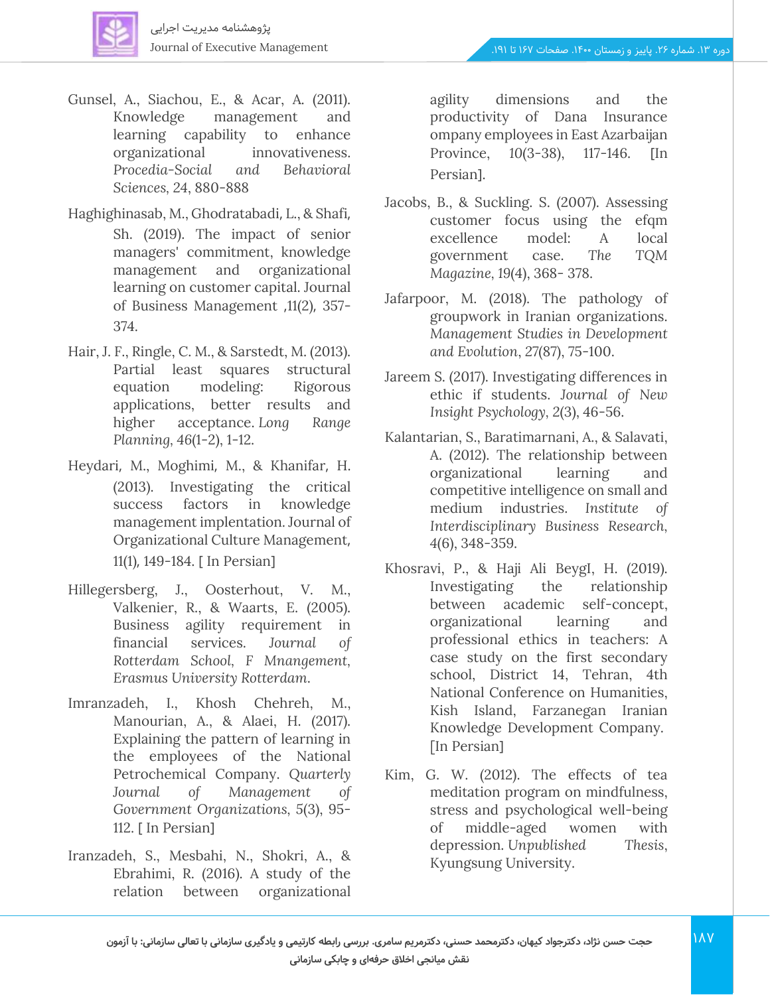

- Gunsel, A., Siachou, E., & Acar, A. (2011). Knowledge management and learning capability to enhance organizational innovativeness. *Procedia-Social and Behavioral Sciences, 24*, 880-888
- Haghighinasab, M., Ghodratabadi, L., & Shafi, Sh. (2019). The impact of senior managers' commitment, knowledge management and organizational learning on customer capital. Journal of Business Management ,11(2), 357- 374.
- Hair, J. F., Ringle, C. M., & Sarstedt, M. (2013). Partial least squares structural equation modeling: Rigorous applications, better results and higher acceptance. *Long Range Planning, 46*(1-2), 1-12.
- Heydari, M., Moghimi, M., & Khanifar, H. (2013). Investigating the critical success factors in knowledge management implentation*.* Journal of Organizational Culture Management, 11(1), 149-184. [ In Persian]
- Hillegersberg, J., Oosterhout, V. M., Valkenier, R., & Waarts, E. (2005). Business agility requirement in financial services. *Journal of Rotterdam School, F Mnangement, Erasmus University Rotterdam*.
- Imranzadeh, I., Khosh Chehreh, M., Manourian, A., & Alaei, H. (2017). Explaining the pattern of learning in the employees of the National Petrochemical Company. *Quarterly Journal of Management of Government Organizations, 5*(3), 95- 112. [ In Persian]
- Iranzadeh, S., Mesbahi, N., Shokri, A., & Ebrahimi, R. (2016). A study of the relation between organizational

agility dimensions and the productivity of Dana Insurance ompany employees in East Azarbaijan Province, 10(3-38), 117-146. [In Persian<sub>1</sub>.

- Jacobs, B., & Suckling. S. (2007). Assessing customer focus using the efqm excellence model: A local government case. *The TQM Magazine, 19*(4), 368- 378.
- Jafarpoor, M. (2018). The pathology of groupwork in Iranian organizations. *Management Studies in Development and Evolution*, *27*(87), 75-100.
- Jareem S. (2017). Investigating differences in ethic if students. *Journal of New Insight Psychology, 2*(3), 46-56.
- Kalantarian, S., Baratimarnani, A., & Salavati, A. (2012). The relationship between organizational learning and competitive intelligence on small and medium industries. *Institute of Interdisciplinary Business Research, 4*(6), 348-359.
- Khosravi, P., & Haji Ali BeygI, H. (2019). Investigating the relationship between academic self-concept, organizational learning and professional ethics in teachers: A case study on the first secondary school, District 14, Tehran, 4th National Conference on Humanities, Kish Island, Farzanegan Iranian Knowledge Development Company. [In Persian]
- Kim, G. W. (2012). The effects of tea meditation program on mindfulness, stress and psychological well-being of middle-aged women with depression. *Unpublished Thesis*, Kyungsung University.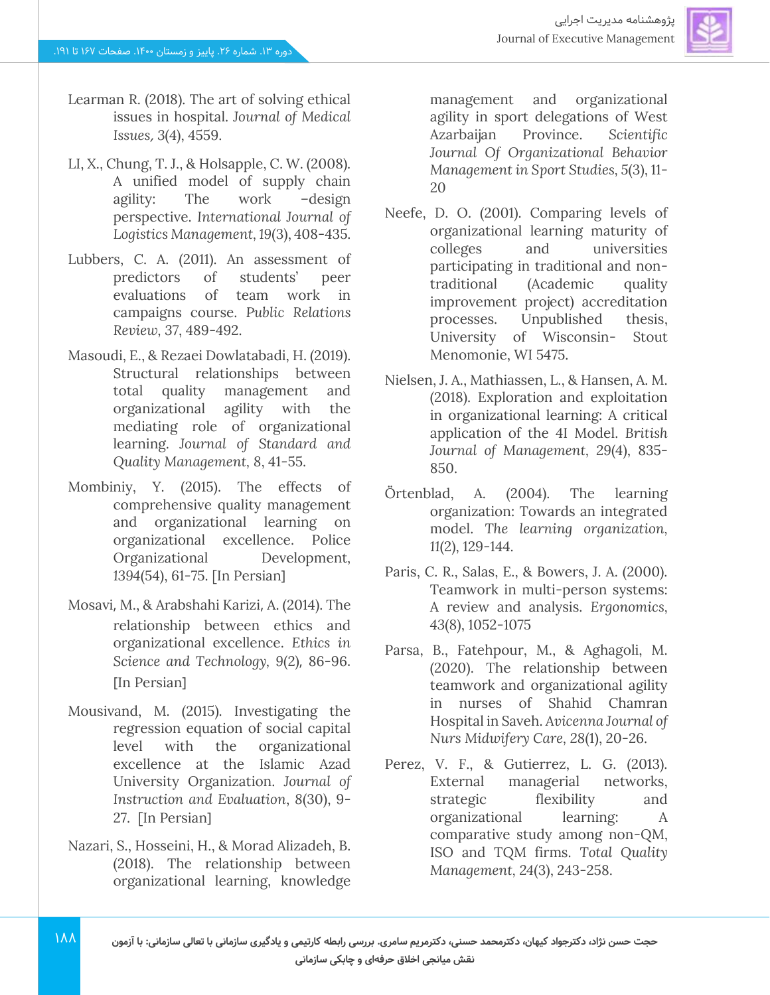

- Learman R. (2018). The art of solving ethical issues in hospital. *Journal of Medical Issues*, *3*(4), 4559.
- LI, X., Chung, T. J., & Holsapple, C. W. (2008). A unified model of supply chain agility: The work –design perspective. *International Journal of Logistics Management, 19*(3), 408-435.
- Lubbers, C. A. (2011). An assessment of predictors of students' peer evaluations of team work in campaigns course. *Public Relations Review, 37*, 489-492.
- Masoudi, E., & Rezaei Dowlatabadi, H. (2019). Structural relationships between total quality management and organizational agility with the mediating role of organizational learning. *Journal of Standard and Quality Management, 8*, 41-55.
- Mombiniy, Y. (2015). The effects of comprehensive quality management and organizational learning on organizational excellence. Police Organizational Development*,*  1394(54), 61-75. [In Persian]
- Mosavi, M., & Arabshahi Karizi, A. (2014). The relationship between ethics and organizational excellence. *Ethics in Science and Technology, 9(2), 86-96.* [In Persian]
- Mousivand, M. (2015). Investigating the regression equation of social capital level with the organizational excellence at the Islamic Azad University Organization. *Journal of Instruction and Evaluation*, *8*(30), 9- 27. [In Persian]
- Nazari, S., Hosseini, H., & Morad Alizadeh, B. (2018). The relationship between organizational learning, knowledge

management and organizational agility in sport delegations of West Azarbaijan Province. *Scientific Journal Of Organizational Behavior Management in Sport Studies, 5*(3), 11- 20

- Neefe, D. O. (2001). Comparing levels of organizational learning maturity of colleges and universities participating in traditional and nontraditional (Academic quality improvement project) accreditation processes. Unpublished thesis, University of Wisconsin- Stout Menomonie, WI 5475.
- Nielsen, J. A., Mathiassen, L., & Hansen, A. M. (2018). Exploration and exploitation in organizational learning: A critical application of the 4I Model. *British Journal of Management, 29*(4), 835- 850.
- Örtenblad, A. (2004). The learning organization: Towards an integrated model. *The learning organization, 11*(2), 129-144.
- Paris, C. R., Salas, E., & Bowers, J. A. (2000). Teamwork in multi-person systems: A review and analysis. *Ergonomics, 43*(8), 1052-1075
- Parsa, B., Fatehpour, M., & Aghagoli, M. (2020). The relationship between teamwork and organizational agility in nurses of Shahid Chamran Hospital in Saveh. *Avicenna Journal of Nurs Midwifery Care, 28*(1), 20-26.
- Perez, V. F., & Gutierrez, L. G. (2013). External managerial networks, strategic flexibility and organizational learning: A comparative study among non-QM, ISO and TQM firms. *Total Quality Management, 24*(3), 243-258.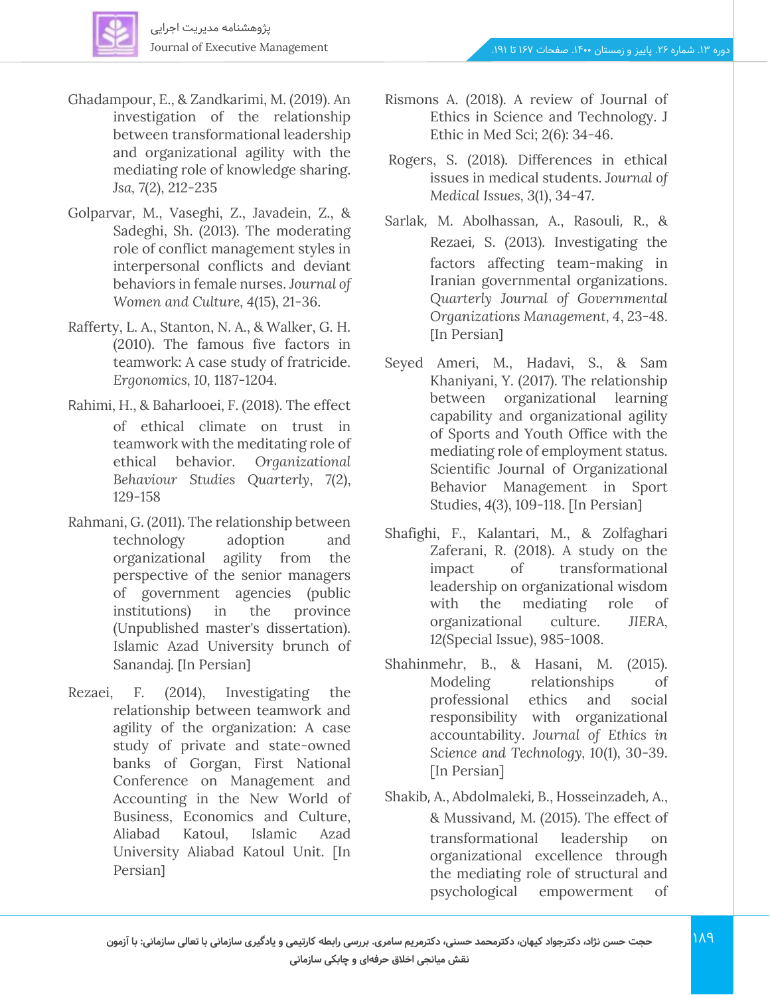

- Ghadampour, E., & Zandkarimi, M. (2019). An investigation of the relationship between transformational leadership and organizational agility with the mediating role of knowledge sharing. *Jsa, 7*(2), 212-235
- Golparvar, M., Vaseghi, Z., Javadein, Z., & Sadeghi, Sh. (2013). The moderating role of conflict management styles in interpersonal conflicts and deviant behaviors in female nurses. *Journal of Women and Culture, 4*(15), 21-36.
- Rafferty, L. A., Stanton, N. A., & Walker, G. H. (2010). The famous five factors in teamwork: A case study of fratricide. *Ergonomics, 10,* 1187-1204.
- Rahimi, H., & Baharlooei, F. (2018). The effect of ethical climate on trust in teamwork with the meditating role of ethical behavior. *Organizational Behaviour Studies Quarterly*, *7*(2), 129-158
- Rahmani, G. (2011). The relationship between technology adoption and organizational agility from the perspective of the senior managers of government agencies (public institutions) in the province (Unpublished master's dissertation). Islamic Azad University brunch of Sanandaj. [In Persian]
- Rezaei, F. (2014), Investigating the relationship between teamwork and agility of the organization: A case study of private and state-owned banks of Gorgan, First National Conference on Management and Accounting in the New World of Business, Economics and Culture, Aliabad Katoul, Islamic Azad University Aliabad Katoul Unit. [In Persian<sub>1</sub>
- Rismons A. (2018). A review of Journal of Ethics in Science and Technology. J Ethic in Med Sci; 2(6): 34-46.
- Rogers, S. (2018). Differences in ethical issues in medical students. *Journal of Medical Issues, 3*(1), 34-47.
- Sarlak, M. Abolhassan, A., Rasouli, R., & Rezaei, S. (2013). Investigating the factors affecting team-making in Iranian governmental organizations. *Quarterly Journal of Governmental Organizations Management, 4*, 23-48. [In Persian]
- Seyed Ameri, M., Hadavi, S., & Sam Khaniyani, Y. (2017). The relationship between organizational learning capability and organizational agility of Sports and Youth Office with the mediating role of employment status. Scientific Journal of Organizational Behavior Management in Sport Studies, 4(3), 109-118. [In Persian]
- Shafighi, F., Kalantari, M., & Zolfaghari Zaferani, R. (2018). A study on the impact of transformational leadership on organizational wisdom with the mediating role of organizational culture. *JIERA, 12*(Special Issue), 985-1008.
- Shahinmehr, B., & Hasani, M. (2015). Modeling relationships of professional ethics and social responsibility with organizational accountability. *Journal of Ethics in Science and Technology, 10*(1), 30-39. [In Persian]
- Shakib, A., Abdolmaleki, B., Hosseinzadeh, A., & Mussivand, M. (2015). The effect of transformational leadership on organizational excellence through the mediating role of structural and psychological empowerment of

 $PA$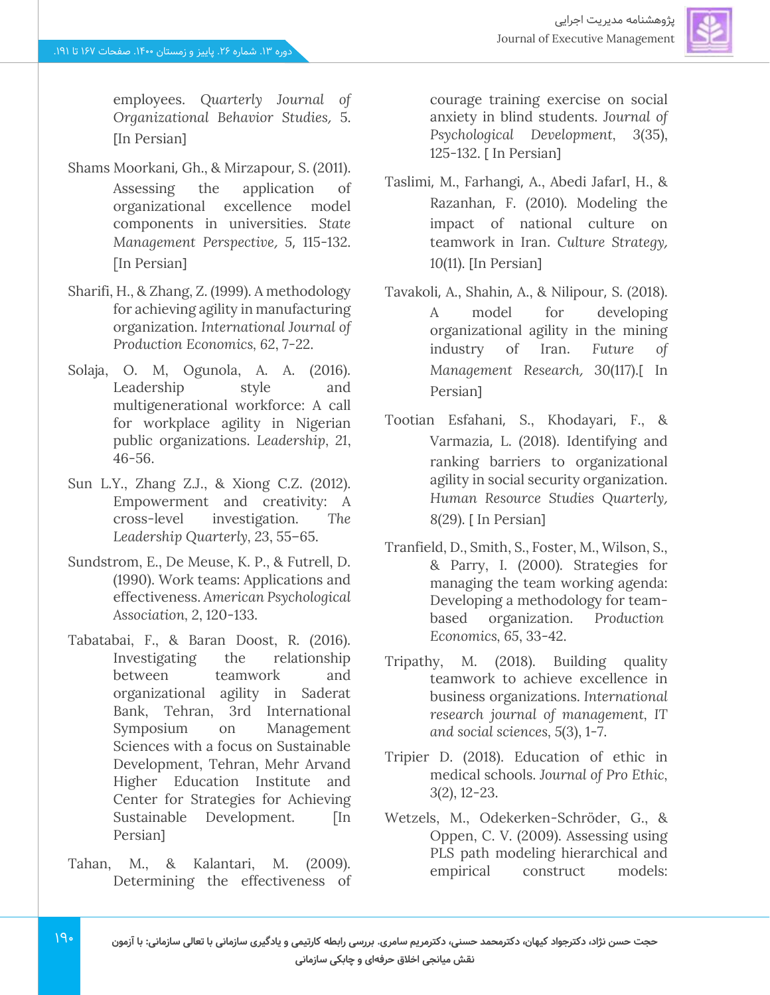

employees. *Quarterly Journal of Organizational Behavior Studies*, 5. [In Persian]

- Shams Moorkani, Gh., & Mirzapour, S. (2011). Assessing the application of organizational excellence model components in universities. *State Management Perspective*, *5*, 115-132. [In Persian]
- Sharifi, H., & Zhang, Z. (1999). A methodology for achieving agility in manufacturing organization. *International Journal of Production Economics, 62*, 7-22.
- Solaja, O. M, Ogunola, A. A. (2016). Leadership style and multigenerational workforce: A call for workplace agility in Nigerian public organizations. *Leadership, 21*, 46-56.
- Sun L.Y., Zhang Z.J., & Xiong C.Z. (2012). Empowerment and creativity: A cross-level investigation. *The Leadership Quarterly, 23*, 55–65.
- Sundstrom, E., De Meuse, K. P., & Futrell, D. (1990). Work teams: Applications and effectiveness. *American Psychological Association, 2*, 120-133.
- Tabatabai, F., & Baran Doost, R. (2016). Investigating the relationship between teamwork and organizational agility in Saderat Bank, Tehran, 3rd International Symposium on Management Sciences with a focus on Sustainable Development, Tehran, Mehr Arvand Higher Education Institute and Center for Strategies for Achieving Sustainable Development. [In Persian<sub>1</sub>
- Tahan, M., & Kalantari, M. (2009). Determining the effectiveness of

courage training exercise on social anxiety in blind students. *Journal of Psychological Development, 3*(35), 125-132. [ In Persian]

- Taslimi, M., Farhangi, A., Abedi JafarI, H., & Razanhan, F. (2010). Modeling the impact of national culture on teamwork in Iran. *Culture Strategy* , 10(11). [In Persian]
- Tavakoli, A., Shahin, A., & Nilipour, S. (2018). A model for developing organizational agility in the mining industry of Iran . *Future of Management Research, 30(117).*[ In Persian]
- Tootian Esfahani, S., Khodayari, F., & Varmazia, L. (2018). Identifying and ranking barriers to organizational agility in social security organization. *Human Resource Studies Quarterly* , 8(29). [ In Persian]
- Tranfield, D., Smith, S., Foster, M., Wilson, S., & Parry, I. (2000). Strategies for managing the team working agenda: Developing a methodology for teambased organization. *Production Economics, 65*, 33-42.
- Tripathy, M. (2018). Building quality teamwork to achieve excellence in business organizations. *International research journal of management, IT and social sciences, 5*(3), 1-7.
- Tripier D. (2018). Education of ethic in medical schools. *Journal of Pro Ethic, 3*(2), 12-23.
- Wetzels, M., Odekerken-Schröder, G., & Oppen, C. V. (2009). Assessing using PLS path modeling hierarchical and empirical construct models: